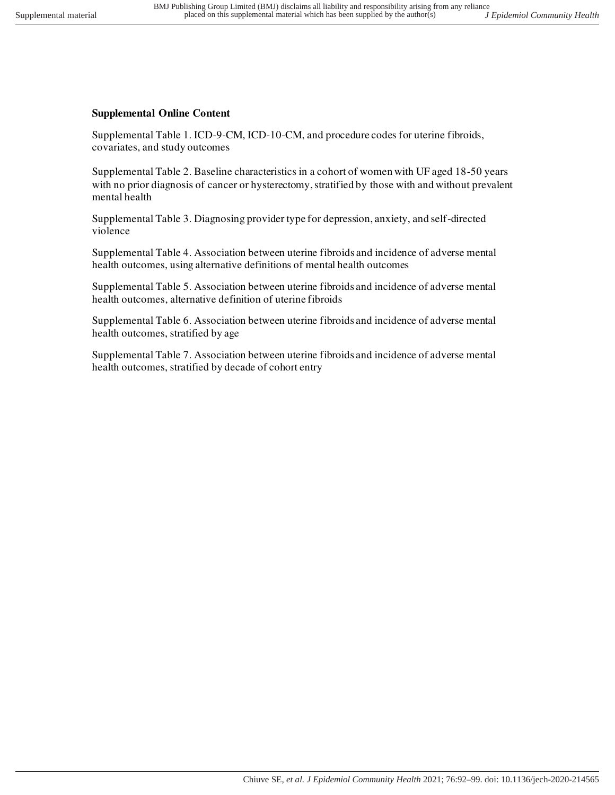## **Supplemental Online Content**

Supplemental Table 1. ICD-9-CM, ICD-10-CM, and procedure codes for uterine fibroids, covariates, and study outcomes

Supplemental Table 2. Baseline characteristics in a cohort of women with UF aged 18-50 years with no prior diagnosis of cancer or hysterectomy, stratified by those with and without prevalent mental health

Supplemental Table 3. Diagnosing provider type for depression, anxiety, and self-directed violence

Supplemental Table 4. Association between uterine fibroids and incidence of adverse mental health outcomes, using alternative definitions of mental health outcomes

Supplemental Table 5. Association between uterine fibroids and incidence of adverse mental health outcomes, alternative definition of uterine fibroids

Supplemental Table 6. Association between uterine fibroids and incidence of adverse mental health outcomes, stratified by age

Supplemental Table 7. Association between uterine fibroids and incidence of adverse mental health outcomes, stratified by decade of cohort entry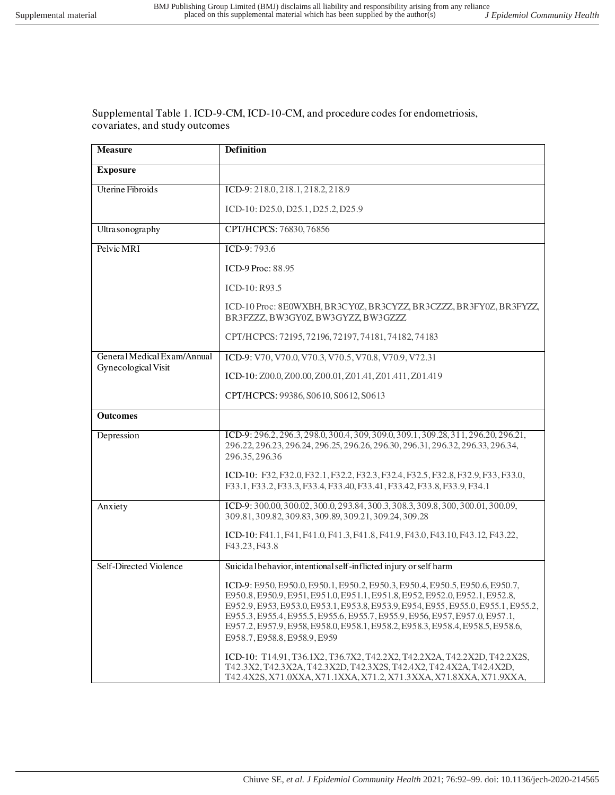Supplemental Table 1. ICD-9-CM, ICD-10-CM, and procedure codes for endometriosis, covariates, and study outcomes

| <b>Measure</b>              | <b>Definition</b>                                                                                                                                                                                                                                                                                                                                                                                                                                |
|-----------------------------|--------------------------------------------------------------------------------------------------------------------------------------------------------------------------------------------------------------------------------------------------------------------------------------------------------------------------------------------------------------------------------------------------------------------------------------------------|
| <b>Exposure</b>             |                                                                                                                                                                                                                                                                                                                                                                                                                                                  |
| <b>Uterine Fibroids</b>     | ICD-9: 218.0, 218.1, 218.2, 218.9                                                                                                                                                                                                                                                                                                                                                                                                                |
|                             | ICD-10: D25.0, D25.1, D25.2, D25.9                                                                                                                                                                                                                                                                                                                                                                                                               |
| Ultra sonography            | CPT/HCPCS: 76830, 76856                                                                                                                                                                                                                                                                                                                                                                                                                          |
| Pelvic MRI                  | ICD-9:793.6                                                                                                                                                                                                                                                                                                                                                                                                                                      |
|                             | ICD-9 Proc: 88.95                                                                                                                                                                                                                                                                                                                                                                                                                                |
|                             | $ICD-10: R93.5$                                                                                                                                                                                                                                                                                                                                                                                                                                  |
|                             | ICD-10 Proc: 8E0WXBH, BR3CY0Z, BR3CYZZ, BR3CZZZ, BR3FY0Z, BR3FYZZ,<br>BR3FZZZ, BW3GY0Z, BW3GYZZ, BW3GZZZ                                                                                                                                                                                                                                                                                                                                         |
|                             | CPT/HCPCS: 72195, 72196, 72197, 74181, 74182, 74183                                                                                                                                                                                                                                                                                                                                                                                              |
| General Medical Exam/Annual | ICD-9: V70, V70.0, V70.3, V70.5, V70.8, V70.9, V72.31                                                                                                                                                                                                                                                                                                                                                                                            |
| Gynecological Visit         | ICD-10: Z00.0, Z00.00, Z00.01, Z01.41, Z01.411, Z01.419                                                                                                                                                                                                                                                                                                                                                                                          |
|                             | CPT/HCPCS: 99386, S0610, S0612, S0613                                                                                                                                                                                                                                                                                                                                                                                                            |
| <b>Outcomes</b>             |                                                                                                                                                                                                                                                                                                                                                                                                                                                  |
| Depression                  | ICD-9: 296.2, 296.3, 298.0, 300.4, 309, 309.0, 309.1, 309.28, 311, 296.20, 296.21,<br>296.22, 296.23, 296.24, 296.25, 296.26, 296.30, 296.31, 296.32, 296.33, 296.34,<br>296.35, 296.36                                                                                                                                                                                                                                                          |
|                             | ICD-10: F32, F32.0, F32.1, F32.2, F32.3, F32.4, F32.5, F32.8, F32.9, F33, F33.0,<br>F33.1, F33.2, F33.3, F33.4, F33.40, F33.41, F33.42, F33.8, F33.9, F34.1                                                                                                                                                                                                                                                                                      |
| Anxiety                     | ICD-9: 300.00, 300.02, 300.0, 293.84, 300.3, 308.3, 309.8, 300, 300.01, 300.09,<br>309.81, 309.82, 309.83, 309.89, 309.21, 309.24, 309.28                                                                                                                                                                                                                                                                                                        |
|                             | ICD-10: F41.1, F41, F41.0, F41.3, F41.8, F41.9, F43.0, F43.10, F43.12, F43.22,<br>F43.23, F43.8                                                                                                                                                                                                                                                                                                                                                  |
| Self-Directed Violence      | Suicidal behavior, intentional self-inflicted injury or self harm                                                                                                                                                                                                                                                                                                                                                                                |
|                             | ICD-9: E950, E950.0, E950.1, E950.2, E950.3, E950.4, E950.5, E950.6, E950.7,<br>E950.8, E950.9, E951, E951.0, E951.1, E951.8, E952, E952.0, E952.1, E952.8,<br>E952.9, E953, E953.0, E953.1, E953.8, E953.9, E954, E955, E955.0, E955.1, E955.2,<br>E955.3, E955.4, E955.5, E955.6, E955.7, E955.9, E956, E957, E957.0, E957.1,<br>E957.2, E957.9, E958, E958.0, E958.1, E958.2, E958.3, E958.4, E958.5, E958.6,<br>E958.7, E958.8, E958.9, E959 |
|                             | ICD-10: T14.91, T36.1X2, T36.7X2, T42.2X2, T42.2X2A, T42.2X2D, T42.2X2S,<br>T42.3X2, T42.3X2A, T42.3X2D, T42.3X2S, T42.4X2, T42.4X2A, T42.4X2D,<br>T42.4X2S, X71.0XXA, X71.1XXA, X71.2, X71.3XXA, X71.8XXA, X71.9XXA,                                                                                                                                                                                                                            |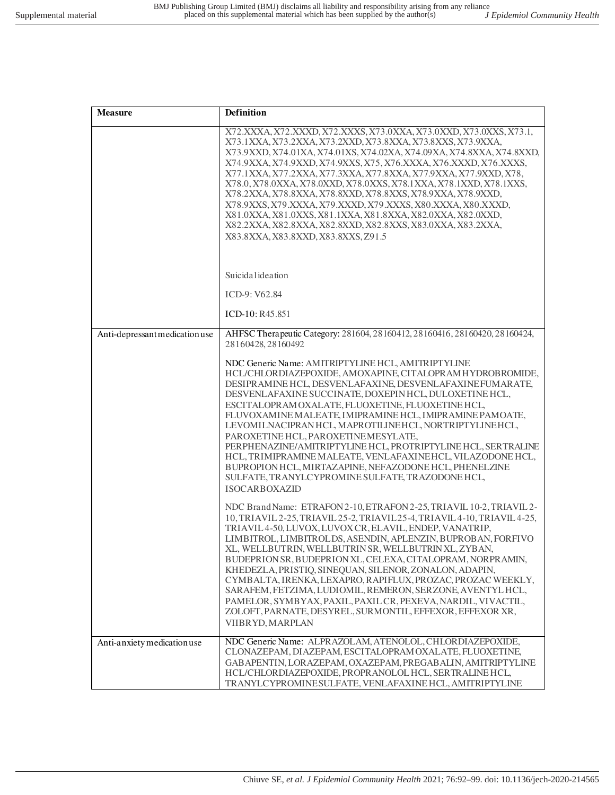| <b>Measure</b>                 | <b>Definition</b>                                                                                                                                                                                                                                                                                                                                                                                                                                                                                                                                                                                                                                                                                                                          |
|--------------------------------|--------------------------------------------------------------------------------------------------------------------------------------------------------------------------------------------------------------------------------------------------------------------------------------------------------------------------------------------------------------------------------------------------------------------------------------------------------------------------------------------------------------------------------------------------------------------------------------------------------------------------------------------------------------------------------------------------------------------------------------------|
|                                | X72.XXXA, X72.XXXD, X72.XXXS, X73.0XXA, X73.0XXD, X73.0XXS, X73.1,<br>X73.1XXA, X73.2XXA, X73.2XXD, X73.8XXA, X73.8XXS, X73.9XXA,<br>X73.9XXD, X74.01XA, X74.01XS, X74.02XA, X74.09XA, X74.8XXA, X74.8XXD,<br>X74.9XXA, X74.9XXD, X74.9XXS, X75, X76.XXXA, X76.XXXD, X76.XXXS,<br>X77.1XXA, X77.2XXA, X77.3XXA, X77.8XXA, X77.9XXA, X77.9XXD, X78,<br>X78.0, X78.0XXA, X78.0XXD, X78.0XXS, X78.1XXA, X78.1XXD, X78.1XXS,<br>X78.2XXA, X78.8XXA, X78.8XXD, X78.8XXS, X78.9XXA, X78.9XXD,<br>X78.9XXS, X79.XXXA, X79.XXXD, X79.XXXS, X80.XXXA, X80.XXXD,<br>X81.0XXA, X81.0XXS, X81.1XXA, X81.8XXA, X82.0XXA, X82.0XXD,<br>X82.2XXA, X82.8XXA, X82.8XXD, X82.8XXS, X83.0XXA, X83.2XXA,<br>X83.8XXA, X83.8XXD, X83.8XXS, Z91.5                |
|                                | Suicidal ideation                                                                                                                                                                                                                                                                                                                                                                                                                                                                                                                                                                                                                                                                                                                          |
|                                | ICD-9: V62.84                                                                                                                                                                                                                                                                                                                                                                                                                                                                                                                                                                                                                                                                                                                              |
|                                | ICD-10: R45.851                                                                                                                                                                                                                                                                                                                                                                                                                                                                                                                                                                                                                                                                                                                            |
| Anti-depressant medication use | AHFSC Therapeutic Category: 281604, 28160412, 28160416, 28160420, 28160424,<br>28160428, 28160492                                                                                                                                                                                                                                                                                                                                                                                                                                                                                                                                                                                                                                          |
|                                | NDC Generic Name: AMITRIPTYLINE HCL, AMITRIPTYLINE<br>HCL/CHLORDIAZEPOXIDE, AMOXAPINE, CITALOPRAMHYDROBROMIDE,<br>DESIPRAMINE HCL, DESVENLAFAXINE, DESVENLAFAXINE FUMARATE,<br>DESVENLAFAXINE SUCCINATE, DOXEPIN HCL, DULOXETINE HCL,<br>ESCITALOPRAMOXALATE, FLUOXETINE, FLUOXETINE HCL,<br>FLUVOXAMINE MALEATE, IMIPRAMINE HCL, IMIPRAMINE PAMOATE,<br>LEVOMILNACIPRANHCL, MAPROTILINEHCL, NORTRIPTYLINEHCL,<br>PAROXETINE HCL, PAROXETINEMESYLATE,<br>PERPHENAZINE/AMITRIPTYLINE HCL, PROTRIPTYLINE HCL, SERTRALINE<br>HCL, TRIMIPRAMINE MALEATE, VENLAFAXINEHCL, VILAZODONE HCL,<br>BUPROPION HCL, MIRTAZAPINE, NEFAZODONE HCL, PHENELZINE<br>SULFATE, TRANYLCYPROMINE SULFATE, TRAZODONE HCL,<br><b>ISOCARBOXAZID</b>                 |
|                                | NDC Brand Name: ETRAFON 2-10, ETRAFON 2-25, TRIAVIL 10-2, TRIAVIL 2-<br>10, TRIAVIL 2-25, TRIAVIL 25-2, TRIAVIL 25-4, TRIAVIL 4-10, TRIAVIL 4-25,<br>TRIAVIL 4-50, LUVOX, LUVOX CR, ELAVIL, ENDEP, VANATRIP,<br>LIMBITROL, LIMBITROLDS, ASENDIN, APLENZIN, BUPROBAN, FORFIVO<br>XL, WELLBUTRIN, WELLBUTRIN SR, WELLBUTRIN XL, ZYBAN,<br>BUDEPRION SR, BUDEPRION XL, CELEXA, CITALOPRAM, NORPRAMIN,<br>KHEDEZLA, PRISTIQ, SINEQUAN, SILENOR, ZONALON, ADAPIN,<br>CYMBALTA, IRENKA, LEXAPRO, RAPIFLUX, PROZAC, PROZAC WEEKLY,<br>SARAFEM, FETZIMA, LUDIOMIL, REMERON, SERZONE, AVENTYL HCL,<br>PAMELOR, SYMBYAX, PAXIL, PAXIL CR, PEXEVA, NARDIL, VIVACTIL,<br>ZOLOFT, PARNATE, DESYREL, SURMONTIL, EFFEXOR, EFFEXOR XR,<br>VIIBRYD, MARPLAN |
| Anti-anxiety medication use    | NDC Generic Name: ALPRAZOLAM, ATENOLOL, CHLORDIAZEPOXIDE,<br>CLONAZEPAM, DIAZEPAM, ESCITALOPRAM OXALATE, FLUOXETINE,<br>GABAPENTIN, LORAZEPAM, OXAZEPAM, PREGABALIN, AMITRIPTYLINE<br>HCL/CHLORDIAZEPOXIDE, PROPRANOLOL HCL, SERTRALINE HCL,<br>TRANYLCYPROMINE SULFATE, VENLAFAXINE HCL, AMITRIPTYLINE                                                                                                                                                                                                                                                                                                                                                                                                                                    |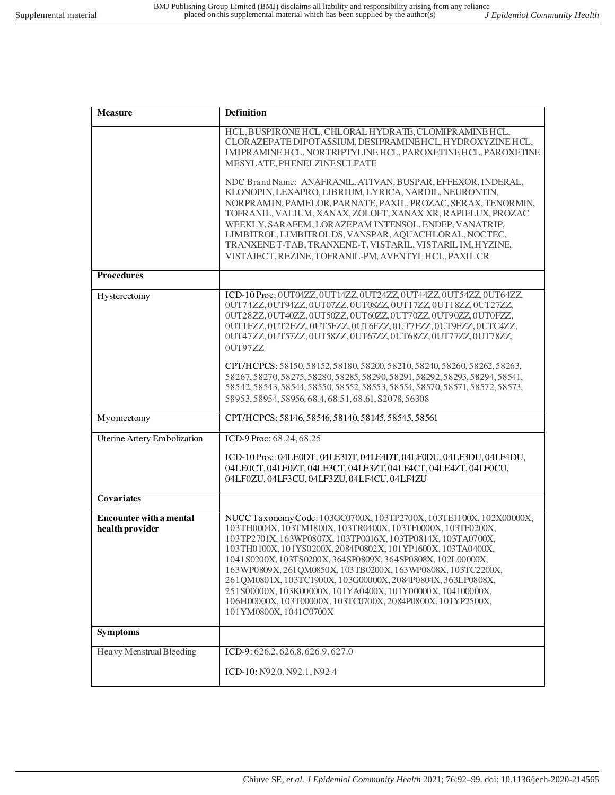| <b>Measure</b>                                    | <b>Definition</b>                                                                                                                                                                                                                                                                                                                                                                                                                                                                                                                                                                                                                                           |
|---------------------------------------------------|-------------------------------------------------------------------------------------------------------------------------------------------------------------------------------------------------------------------------------------------------------------------------------------------------------------------------------------------------------------------------------------------------------------------------------------------------------------------------------------------------------------------------------------------------------------------------------------------------------------------------------------------------------------|
|                                                   | HCL, BUSPIRONE HCL, CHLORAL HYDRATE, CLOMIPRAMINE HCL,<br>CLORAZEPATE DIPOTASSIUM, DESIPRAMINEHCL, HYDROXYZINEHCL,<br>IMIPRAMINE HCL, NORTRIPTYLINE HCL, PAROXETINE HCL, PAROXETINE<br>MESYLATE, PHENELZINE SULFATE                                                                                                                                                                                                                                                                                                                                                                                                                                         |
|                                                   | NDC Brand Name: ANAFRANIL, ATIVAN, BUSPAR, EFFEXOR, INDERAL,<br>KLONOPIN, LEXAPRO, LIBRIUM, LYRICA, NARDIL, NEURONTIN,<br>NORPRAMIN, PAMELOR, PARNATE, PAXIL, PROZAC, SERAX, TENORMIN,<br>TOFRANIL, VALIUM, XANAX, ZOLOFT, XANAX XR, RAPIFLUX, PROZAC<br>WEEKLY, SARAFEM, LORAZEPAM INTENSOL, ENDEP, VANATRIP,<br>LIMBITROL, LIMBITROLDS, VANSPAR, AQUACHLORAL, NOCTEC,<br>TRANXENE T-TAB, TRANXENE-T, VISTARIL, VISTARIL IM, HYZINE,<br>VISTAJECT, REZINE, TOFRANIL-PM, AVENTYL HCL, PAXIL CR                                                                                                                                                              |
| <b>Procedures</b>                                 |                                                                                                                                                                                                                                                                                                                                                                                                                                                                                                                                                                                                                                                             |
| Hysterectomy                                      | ICD-10 Proc: 0UT04ZZ, 0UT14ZZ, 0UT24ZZ, 0UT44ZZ, 0UT54ZZ, 0UT64ZZ,<br>0UT74ZZ, 0UT94ZZ, 0UT07ZZ, 0UT08ZZ, 0UT17ZZ, 0UT18ZZ, 0UT27ZZ,<br>0UT28ZZ, 0UT40ZZ, 0UT50ZZ, 0UT60ZZ, 0UT70ZZ, 0UT90ZZ, 0UT0FZZ,<br>0UT1FZZ, 0UT2FZZ, 0UT5FZZ, 0UT6FZZ, 0UT7FZZ, 0UT9FZZ, 0UTC4ZZ,<br>0UT47ZZ, 0UT57ZZ, 0UT58ZZ, 0UT67ZZ, 0UT68ZZ, 0UT77ZZ, 0UT78ZZ,<br>0UT97ZZ<br>CPT/HCPCS: 58150, 58152, 58180, 58200, 58210, 58240, 58260, 58262, 58263,<br>58267, 58270, 58275, 58280, 58285, 58290, 58291, 58292, 58293, 58294, 58541,<br>58542, 58543, 58544, 58550, 58552, 58553, 58554, 58570, 58571, 58572, 58573,<br>58953, 58954, 58956, 68.4, 68.51, 68.61, S2078, 56308 |
| Myomectomy                                        | CPT/HCPCS: 58146, 58546, 58140, 58145, 58545, 58561                                                                                                                                                                                                                                                                                                                                                                                                                                                                                                                                                                                                         |
| Uterine Artery Embolization                       | ICD-9 Proc: 68.24, 68.25                                                                                                                                                                                                                                                                                                                                                                                                                                                                                                                                                                                                                                    |
|                                                   | ICD-10 Proc: 04LE0DT, 04LE3DT, 04LE4DT, 04LF0DU, 04LF3DU, 04LF4DU,<br>04LE0CT, 04LE0ZT, 04LE3CT, 04LE3ZT, 04LE4CT, 04LE4ZT, 04LF0CU,<br>04LF0ZU, 04LF3CU, 04LF3ZU, 04LF4CU, 04LF4ZU                                                                                                                                                                                                                                                                                                                                                                                                                                                                         |
| <b>Covariates</b>                                 |                                                                                                                                                                                                                                                                                                                                                                                                                                                                                                                                                                                                                                                             |
| <b>Encounter with a mental</b><br>health provider | NUCC Taxonomy Code: 103GC0700X, 103TP2700X, 103TE1100X, 102X00000X,<br>103TH0004X, 103TM1800X, 103TR0400X, 103TF0000X, 103TF0200X,<br>103TP2701X, 163WP0807X, 103TP0016X, 103TP0814X, 103TA0700X,<br>103TH0100X, 101YS0200X, 2084P0802X, 101YP1600X, 103TA0400X,<br>1041S0200X, 103TS0200X, 364SP0809X, 364SP0808X, 102L00000X,<br>163WP0809X, 261QM0850X, 103TB0200X, 163WP0808X, 103TC2200X,<br>261QM0801X, 103TC1900X, 103G00000X, 2084P0804X, 363LP0808X,<br>251 S00000X, 103 K00000X, 101 YA0400X, 101 Y00000X, 104 100000X,<br>106H00000X, 103T00000X, 103TC0700X, 2084P0800X, 101YP2500X,<br>101YM0800X, 1041C0700X                                  |
| <b>Symptoms</b>                                   |                                                                                                                                                                                                                                                                                                                                                                                                                                                                                                                                                                                                                                                             |
| Heavy Menstrual Bleeding                          | ICD-9: 626.2, 626.8, 626.9, 627.0                                                                                                                                                                                                                                                                                                                                                                                                                                                                                                                                                                                                                           |
|                                                   | ICD-10: N92.0, N92.1, N92.4                                                                                                                                                                                                                                                                                                                                                                                                                                                                                                                                                                                                                                 |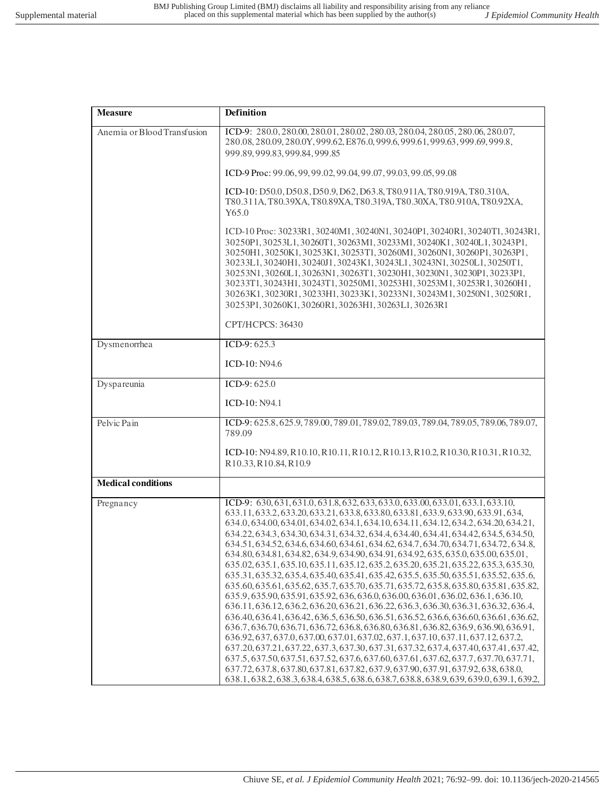| <b>Measure</b>              | <b>Definition</b>                                                                                                                                                                                                                                                                                                                                                                                                                                                                                                                                                                                                                                                                                                                                                                                                                                                                                                                                                                                                                                                                                                                                                                                                                                                                                                                                                                                                                                                                                                                                                                                                               |
|-----------------------------|---------------------------------------------------------------------------------------------------------------------------------------------------------------------------------------------------------------------------------------------------------------------------------------------------------------------------------------------------------------------------------------------------------------------------------------------------------------------------------------------------------------------------------------------------------------------------------------------------------------------------------------------------------------------------------------------------------------------------------------------------------------------------------------------------------------------------------------------------------------------------------------------------------------------------------------------------------------------------------------------------------------------------------------------------------------------------------------------------------------------------------------------------------------------------------------------------------------------------------------------------------------------------------------------------------------------------------------------------------------------------------------------------------------------------------------------------------------------------------------------------------------------------------------------------------------------------------------------------------------------------------|
| Anemia or Blood Transfusion | ICD-9: 280.0, 280.00, 280.01, 280.02, 280.03, 280.04, 280.05, 280.06, 280.07,<br>280.08, 280.09, 280.0Y, 999.62, E876.0, 999.6, 999.61, 999.63, 999.69, 999.8,<br>999.89, 999.83, 999.84, 999.85                                                                                                                                                                                                                                                                                                                                                                                                                                                                                                                                                                                                                                                                                                                                                                                                                                                                                                                                                                                                                                                                                                                                                                                                                                                                                                                                                                                                                                |
|                             | ICD-9 Proc: 99.06, 99, 99.02, 99.04, 99.07, 99.03, 99.05, 99.08                                                                                                                                                                                                                                                                                                                                                                                                                                                                                                                                                                                                                                                                                                                                                                                                                                                                                                                                                                                                                                                                                                                                                                                                                                                                                                                                                                                                                                                                                                                                                                 |
|                             | ICD-10: D50.0, D50.8, D50.9, D62, D63.8, T80.911A, T80.919A, T80.310A,<br>T80.311A, T80.39XA, T80.89XA, T80.319A, T80.30XA, T80.910A, T80.92XA,<br>Y65.0                                                                                                                                                                                                                                                                                                                                                                                                                                                                                                                                                                                                                                                                                                                                                                                                                                                                                                                                                                                                                                                                                                                                                                                                                                                                                                                                                                                                                                                                        |
|                             | ICD-10 Proc: 30233R1, 30240M1, 30240N1, 30240P1, 30240R1, 30240T1, 30243R1,<br>30250P1, 30253L1, 30260T1, 30263M1, 30233M1, 30240K1, 30240L1, 30243P1,<br>30250H1, 30250K1, 30253K1, 30253T1, 30260M1, 30260N1, 30260P1, 30263P1,<br>30233L1, 30240H1, 30240J1, 30243K1, 30243L1, 30243N1, 30250L1, 30250T1,<br>30253N1, 30260L1, 30263N1, 30263T1, 30230H1, 30230N1, 30230P1, 30233P1,<br>30233T1, 30243H1, 30243T1, 30250M1, 30253H1, 30253M1, 30253R1, 30260H1,<br>30263K1, 30230R1, 30233H1, 30233K1, 30233N1, 30243M1, 30250N1, 30250R1,<br>30253P1, 30260K1, 30260R1, 30263H1, 30263L1, 30263R1                                                                                                                                                                                                                                                                                                                                                                                                                                                                                                                                                                                                                                                                                                                                                                                                                                                                                                                                                                                                                           |
|                             | CPT/HCPCS: 36430                                                                                                                                                                                                                                                                                                                                                                                                                                                                                                                                                                                                                                                                                                                                                                                                                                                                                                                                                                                                                                                                                                                                                                                                                                                                                                                                                                                                                                                                                                                                                                                                                |
| Dysmenorrhea                | ICD-9: $625.3$                                                                                                                                                                                                                                                                                                                                                                                                                                                                                                                                                                                                                                                                                                                                                                                                                                                                                                                                                                                                                                                                                                                                                                                                                                                                                                                                                                                                                                                                                                                                                                                                                  |
|                             | ICD-10: N94.6                                                                                                                                                                                                                                                                                                                                                                                                                                                                                                                                                                                                                                                                                                                                                                                                                                                                                                                                                                                                                                                                                                                                                                                                                                                                                                                                                                                                                                                                                                                                                                                                                   |
| Dyspareunia                 | ICD-9: $625.0$                                                                                                                                                                                                                                                                                                                                                                                                                                                                                                                                                                                                                                                                                                                                                                                                                                                                                                                                                                                                                                                                                                                                                                                                                                                                                                                                                                                                                                                                                                                                                                                                                  |
|                             | ICD-10: N94.1                                                                                                                                                                                                                                                                                                                                                                                                                                                                                                                                                                                                                                                                                                                                                                                                                                                                                                                                                                                                                                                                                                                                                                                                                                                                                                                                                                                                                                                                                                                                                                                                                   |
| Pelvic Pain                 | ICD-9: 625.8, 625.9, 789.00, 789.01, 789.02, 789.03, 789.04, 789.05, 789.06, 789.07,<br>789.09                                                                                                                                                                                                                                                                                                                                                                                                                                                                                                                                                                                                                                                                                                                                                                                                                                                                                                                                                                                                                                                                                                                                                                                                                                                                                                                                                                                                                                                                                                                                  |
|                             | ICD-10: N94.89, R10.10, R10.11, R10.12, R10.13, R10.2, R10.30, R10.31, R10.32,<br>R10.33, R10.84, R10.9                                                                                                                                                                                                                                                                                                                                                                                                                                                                                                                                                                                                                                                                                                                                                                                                                                                                                                                                                                                                                                                                                                                                                                                                                                                                                                                                                                                                                                                                                                                         |
| <b>Medical conditions</b>   |                                                                                                                                                                                                                                                                                                                                                                                                                                                                                                                                                                                                                                                                                                                                                                                                                                                                                                                                                                                                                                                                                                                                                                                                                                                                                                                                                                                                                                                                                                                                                                                                                                 |
| Pregnancy                   | ICD-9: 630, 631, 631.0, 631.8, 632, 633, 633.0, 633.00, 633.01, 633.1, 633.10,<br>633.11, 633.2, 633.20, 633.21, 633.8, 633.80, 633.81, 633.9, 633.90, 633.91, 634,<br>634.0, 634.00, 634.01, 634.02, 634.1, 634.10, 634.11, 634.12, 634.2, 634.20, 634.21,<br>634.22, 634.3, 634.30, 634.31, 634.32, 634.4, 634.40, 634.41, 634.42, 634.5, 634.50,<br>634.51, 634.52, 634.6, 634.60, 634.61, 634.62, 634.7, 634.70, 634.71, 634.72, 634.8,<br>634.80, 634.81, 634.82, 634.9, 634.90, 634.91, 634.92, 635, 635.0, 635.00, 635.01,<br>635.02, 635.1, 635.10, 635.11, 635.12, 635.2, 635.20, 635.21, 635.22, 635.3, 635.30,<br>635.31, 635.32, 635.4, 635.40, 635.41, 635.42, 635.5, 635.50, 635.51, 635.52, 635.6,<br>635.60, 635.61, 635.62, 635.7, 635.70, 635.71, 635.72, 635.8, 635.80, 635.81, 635.82,<br>635.9, 635.90, 635.91, 635.92, 636, 636.0, 636.00, 636.01, 636.02, 636.1, 636.10,<br>636.11, 636.12, 636.2, 636.20, 636.21, 636.22, 636.3, 636.30, 636.31, 636.32, 636.4,<br>636.40, 636.41, 636.42, 636.5, 636.50, 636.51, 636.52, 636.6, 636.60, 636.61, 636.62,<br>636.7, 636.70, 636.71, 636.72, 636.8, 636.80, 636.81, 636.82, 636.9, 636.90, 636.91,<br>636.92, 637, 637.0, 637.00, 637.01, 637.02, 637.1, 637.10, 637.11, 637.12, 637.2,<br>637.20, 637.21, 637.22, 637.3, 637.30, 637.31, 637.32, 637.4, 637.40, 637.41, 637.42,<br>637.5, 637.50, 637.51, 637.52, 637.6, 637.60, 637.61, 637.62, 637.7, 637.70, 637.71,<br>637.72, 637.8, 637.80, 637.81, 637.82, 637.9, 637.90, 637.91, 637.92, 638, 638.0,<br>638.1, 638.2, 638.3, 638.4, 638.5, 638.6, 638.7, 638.8, 638.9, 639, 639.0, 639.1, 639.2, |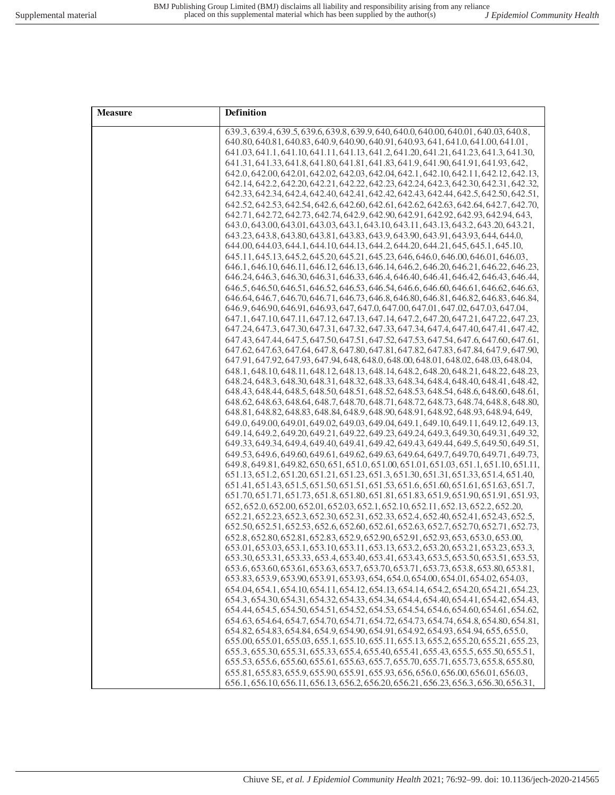| <b>Measure</b> | <b>Definition</b>                                                                                                                                                              |
|----------------|--------------------------------------------------------------------------------------------------------------------------------------------------------------------------------|
|                | 639.3, 639.4, 639.5, 639.6, 639.8, 639.9, 640, 640.0, 640.00, 640.01, 640.03, 640.8,                                                                                           |
|                | 640.80, 640.81, 640.83, 640.9, 640.90, 640.91, 640.93, 641, 641.0, 641.00, 641.01,                                                                                             |
|                | 641.03, 641.1, 641.10, 641.11, 641.13, 641.2, 641.20, 641.21, 641.23, 641.3, 641.30,                                                                                           |
|                | 641.31, 641.33, 641.8, 641.80, 641.81, 641.83, 641.9, 641.90, 641.91, 641.93, 642,                                                                                             |
|                | 642.0, 642.00, 642.01, 642.02, 642.03, 642.04, 642.1, 642.10, 642.11, 642.12, 642.13,                                                                                          |
|                | 642.14, 642.2, 642.20, 642.21, 642.22, 642.23, 642.24, 642.3, 642.30, 642.31, 642.32,                                                                                          |
|                | 642.33, 642.34, 642.4, 642.40, 642.41, 642.42, 642.43, 642.44, 642.5, 642.50, 642.51,                                                                                          |
|                | 642.52, 642.53, 642.54, 642.6, 642.60, 642.61, 642.62, 642.63, 642.64, 642.7, 642.70,                                                                                          |
|                | 642.71, 642.72, 642.73, 642.74, 642.9, 642.90, 642.91, 642.92, 642.93, 642.94, 643,                                                                                            |
|                | 643.0, 643.00, 643.01, 643.03, 643.1, 643.10, 643.11, 643.13, 643.2, 643.20, 643.21,                                                                                           |
|                | 643.23, 643.8, 643.80, 643.81, 643.83, 643.9, 643.90, 643.91, 643.93, 644, 644.0,                                                                                              |
|                | 644.00, 644.03, 644.1, 644.10, 644.13, 644.2, 644.20, 644.21, 645, 645.1, 645.10,                                                                                              |
|                | 645.11, 645.13, 645.2, 645.20, 645.21, 645.23, 646, 646.0, 646.00, 646.01, 646.03,                                                                                             |
|                | 646.1, 646.10, 646.11, 646.12, 646.13, 646.14, 646.2, 646.20, 646.21, 646.22, 646.23,                                                                                          |
|                | 646.24, 646.3, 646.30, 646.31, 646.33, 646.4, 646.40, 646.41, 646.42, 646.43, 646.44,                                                                                          |
|                | 646.5, 646.50, 646.51, 646.52, 646.53, 646.54, 646.6, 646.60, 646.61, 646.62, 646.63,                                                                                          |
|                | 646.64, 646.7, 646.70, 646.71, 646.73, 646.8, 646.80, 646.81, 646.82, 646.83, 646.84,                                                                                          |
|                | 646.9, 646.90, 646.91, 646.93, 647, 647.0, 647.00, 647.01, 647.02, 647.03, 647.04,                                                                                             |
|                | 647.1, 647.10, 647.11, 647.12, 647.13, 647.14, 647.2, 647.20, 647.21, 647.22, 647.23,                                                                                          |
|                | 647.24, 647.3, 647.30, 647.31, 647.32, 647.33, 647.34, 647.4, 647.40, 647.41, 647.42,                                                                                          |
|                | 647.43, 647.54, 647.50, 647.51, 647.52, 647.53, 647.54, 647.6, 647.60, 647.61,                                                                                                 |
|                | 647.62, 647.63, 647.64, 647.8, 647.80, 647.81, 647.82, 647.83, 647.84, 647.9, 647.90,                                                                                          |
|                | 647.91, 647.92, 647.93, 647.94, 648, 648.0, 648.00, 648.01, 648.02, 648.03, 648.04,                                                                                            |
|                | 648.1.648.10.648.11.648.12.648.13.648.14.648.2.648.20.648.21.648.22.648.23.                                                                                                    |
|                | 648.24, 648.3, 648.30, 648.31, 648.32, 648.33, 648.34, 648.40, 648.41, 648.42,                                                                                                 |
|                | 648.43, 648.44, 648.5, 648.50, 648.51, 648.52, 648.53, 648.54, 648.6, 648.60, 648.61,                                                                                          |
|                | 648.62, 648.63, 648.64, 648.7, 648.70, 648.71, 648.72, 648.73, 648.74, 648.8, 648.80,                                                                                          |
|                | 648.81, 648.82, 648.83, 648.84, 648.9, 648.90, 648.91, 648.92, 648.93, 648.94, 649,                                                                                            |
|                | 649.0, 649.00, 649.01, 649.02, 649.03, 649.04, 649.1, 649.10, 649.11, 649.12, 649.13,                                                                                          |
|                | 649.14, 649.2, 649.20, 649.21, 649.22, 649.23, 649.24, 649.3, 649.30, 649.31, 649.32,                                                                                          |
|                | 649.33, 649.34, 649.4, 649.40, 649.41, 649.42, 649.43, 649.44, 649.5, 649.50, 649.51,                                                                                          |
|                | 649.53, 649.6, 649.60, 649.61, 649.62, 649.63, 649.64, 649.7, 649.70, 649.71, 649.73,                                                                                          |
|                | 649.8, 649.81, 649.82, 650, 651, 651.0, 651.00, 651.01, 651.03, 651.1, 651.10, 651.11,                                                                                         |
|                | 651.13, 651.2, 651.20, 651.21, 651.23, 651.3, 651.30, 651.31, 651.33, 651.4, 651.40,                                                                                           |
|                | 651.41, 651.43, 651.50, 651.51, 651.53, 651.6, 651.60, 651.61, 651.63, 651.7                                                                                                   |
|                | 651.70, 651.71, 651.73, 651.8, 651.80, 651.81, 651.83, 651.9, 651.90, 651.91, 651.93,                                                                                          |
|                | 652, 652, 0, 652, 00, 652, 01, 652, 03, 652, 1, 652, 10, 652, 11, 652, 13, 652, 2, 652, 20,                                                                                    |
|                | 652.21, 652.23, 652.3, 652.30, 652.31, 652.33, 652.4, 652.40, 652.41, 652.43, 652.5,                                                                                           |
|                | 652.50, 652.51, 652.53, 652.6, 652.60, 652.61, 652.63, 652.7, 652.70, 652.71, 652.73,                                                                                          |
|                | 652.8, 652.80, 652.81, 652.83, 652.9, 652.90, 652.91, 652.93, 653, 653.0, 653.00,                                                                                              |
|                | 653.01, 653.03, 653.1, 653.10, 653.11, 653.13, 653.2, 653.20, 653.21, 653.23, 653.3,                                                                                           |
|                | 653.30, 653.31, 653.33, 653.4, 653.40, 653.41, 653.43, 653.5, 653.50, 653.51, 653.53,                                                                                          |
|                | 653.6, 653.60, 653.61, 653.63, 653.7, 653.70, 653.71, 653.73, 653.8, 653.80, 653.81,                                                                                           |
|                | 653.83, 653.9, 653.90, 653.91, 653.93, 654, 654.0, 654.00, 654.01, 654.02, 654.03,                                                                                             |
|                | 654.04, 654.1, 654.10, 654.11, 654.12, 654.13, 654.14, 654.2, 654.20, 654.21, 654.23,                                                                                          |
|                | 654.3, 654.30, 654.31, 654.32, 654.33, 654.34, 654.4, 654.40, 654.41, 654.42, 654.43,                                                                                          |
|                | 654.44, 654.5, 654.50, 654.51, 654.52, 654.53, 654.54, 654.6, 654.60, 654.61, 654.62,<br>654.63, 654.64, 654.7, 654.70, 654.71, 654.72, 654.73, 654.74, 654.8, 654.80, 654.81, |
|                | 654.82, 654.83, 654.84, 654.9, 654.90, 654.91, 654.92, 654.93, 654.94, 655, 655.0,                                                                                             |
|                | 655.00, 655.01, 655.03, 655.1, 655.10, 655.11, 655.13, 655.2, 655.20, 655.21, 655.23,                                                                                          |
|                | 655.3, 655.30, 655.31, 655.33, 655.4, 655.40, 655.41, 655.43, 655.5, 655.50, 655.51,                                                                                           |
|                | 655.53, 655.6, 655.60, 655.61, 655.63, 655.7, 655.70, 655.71, 655.73, 655.8, 655.80,                                                                                           |
|                | 655.81, 655.83, 655.9, 655.90, 655.91, 655.93, 656, 656.0, 656.00, 656.01, 656.03,                                                                                             |
|                |                                                                                                                                                                                |
|                | 656.1, 656.10, 656.11, 656.13, 656.2, 656.20, 656.21, 656.23, 656.3, 656.30, 656.31,                                                                                           |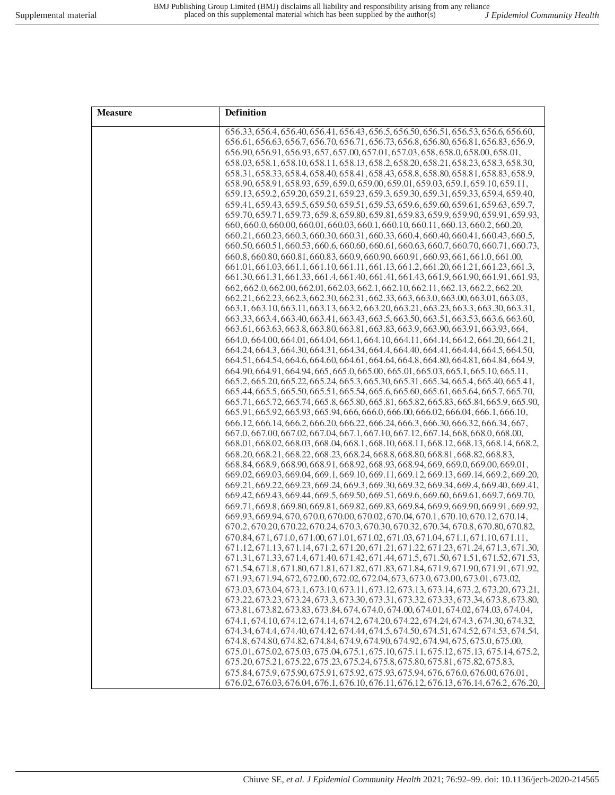| <b>Measure</b> | Definition                                                                                                                                                                   |
|----------------|------------------------------------------------------------------------------------------------------------------------------------------------------------------------------|
|                | 656.33, 656.4, 656.40, 656.41, 656.43, 656.5, 656.50, 656.51, 656.53, 656.6, 656.60,                                                                                         |
|                | 656.61, 656.63, 656.7, 656.70, 656.71, 656.73, 656.8, 656.80, 656.81, 656.83, 656.9,                                                                                         |
|                | 656.90, 656.91, 656.93, 657, 657.00, 657.01, 657.03, 658, 658.0, 658.00, 658.01,                                                                                             |
|                | 658.03, 658.1, 658.10, 658.11, 658.13, 658.2, 658.20, 658.21, 658.23, 658.3, 658.30,                                                                                         |
|                | 658.31, 658.33, 658.4, 658.40, 658.41, 658.43, 658.8, 658.80, 658.81, 658.83, 658.9,<br>658.90, 658.91, 658.93, 659, 659.0, 659.00, 659.01, 659.03, 659.1, 659.10, 659.11,   |
|                | 659.13, 659.2, 659.20, 659.21, 659.23, 659.3, 659.30, 659.31, 659.33, 659.4, 659.40,                                                                                         |
|                | 659.41, 659.43, 659.5, 659.50, 659.51, 659.53, 659.6, 659.60, 659.61, 659.63, 659.7,                                                                                         |
|                | 659.70, 659.71, 659.73, 659.8, 659.80, 659.81, 659.83, 659.9, 659.90, 659.91, 659.93,                                                                                        |
|                | 660, 660.0, 660.00, 660.01, 660.03, 660.1, 660.10, 660.11, 660.13, 660.2, 660.20,                                                                                            |
|                | 660.21, 660.23, 660.3, 660.30, 660.31, 660.33, 660.4, 660.40, 660.41, 660.43, 660.5,                                                                                         |
|                | 660.50, 660.51, 660.53, 660.6, 660.60, 660.61, 660.63, 660.7, 660.70, 660.71, 660.73,                                                                                        |
|                | 660.8, 660.80, 660.81, 660.83, 660.9, 660.90, 660.91, 660.93, 661, 661.0, 661.00,                                                                                            |
|                | 661.01,661.03,661.1,661.10,661.11,661.13,661.2,661.20,661.21,661.23,661.3                                                                                                    |
|                | 661.30, 661.31, 661.33, 661.4, 661.40, 661.41, 661.43, 661.9, 661.90, 661.91, 661.93,                                                                                        |
|                | 662, 662, 0, 662, 00, 662, 01, 662, 03, 662, 1, 662, 10, 662, 11, 662, 13, 662, 2, 662, 20,<br>662.21, 662.23, 662.3, 662.31, 662.31, 662.33, 663.0, 663.00, 663.01, 663.03, |
|                | 663.1, 663.10, 663.11, 663.13, 663.2, 663.20, 663.21, 663.23, 663.3, 663.30, 663.31,                                                                                         |
|                | 663.33, 663.4, 663.40, 663.41, 663.43, 663.5, 663.50, 663.51, 663.53, 663.6, 663.60,                                                                                         |
|                | 663.61, 663.63, 663.8, 663.80, 663.81, 663.83, 663.9, 663.90, 663.91, 663.93, 664,                                                                                           |
|                | 664.0, 664.00, 664.01, 664.04, 664.1, 664.10, 664.11, 664.14, 664.2, 664.20, 664.21,                                                                                         |
|                | 664.24, 664.3, 664.30, 664.31, 664.34, 664.4, 664.40, 664.41, 664.44, 664.5, 664.50,                                                                                         |
|                | 664.51, 664.54, 664.60, 664.61, 664.64, 664.8, 664.80, 664.81, 664.84, 664.9                                                                                                 |
|                | 664.90, 664.91, 664.94, 665, 665.0, 665.00, 665.01, 665.03, 665.1, 665.10, 665.11,                                                                                           |
|                | 665.2, 665.20, 665.22, 665.24, 665.3, 665.30, 665.31, 665.34, 665.4, 665.40, 665.41,                                                                                         |
|                | 665.44, 665.5, 665.50, 665.51, 665.54, 665.6, 665.60, 665.61, 665.64, 665.7, 665.70,                                                                                         |
|                | 665.71, 665.72, 665.74, 665.8, 665.80, 665.81, 665.82, 665.83, 665.84, 665.9, 665.90,<br>665.91, 665.92, 665.93, 665.94, 666, 666.0, 666.00, 666.02, 666.04, 666.1, 666.10,  |
|                | 666.12, 666.14, 666.2, 666.20, 666.22, 666.24, 666.3, 666.30, 666.32, 666.34, 667,                                                                                           |
|                | 667.0, 667.00, 667.02, 667.04, 667.1, 667.10, 667.12, 667.14, 668, 668.0, 668.00,                                                                                            |
|                | 668.01, 668.02, 668.03, 668.04, 668.1, 668.10, 668.11, 668.12, 668.13, 668.14, 668.2,                                                                                        |
|                | 668.20, 668.21, 668.22, 668.23, 668.24, 668.8, 668.80, 668.81, 668.82, 668.83,                                                                                               |
|                | 668.84, 668.9, 668.90, 668.91, 668.92, 668.93, 668.94, 669, 669.0, 669.00, 669.01,                                                                                           |
|                | 669.02, 669.03, 669.04, 669.1, 669.10, 669.11, 669.12, 669.13, 669.14, 669.2, 669.20,                                                                                        |
|                | 669.21, 669.22, 669.23, 669.24, 669.3, 669.30, 669.32, 669.34, 669.4, 669.40, 669.41,                                                                                        |
|                | 669.42, 669.43, 669.44, 669.5, 669.50, 669.51, 669.6, 669.60, 669.61, 669.7, 669.70,<br>669.71,669.8,669.80,669.81,669.82,669.83,669.84,669.9,669.90,669.91,669.92,          |
|                | 669.93, 669.94, 670, 670.0, 670.00, 670.02, 670.04, 670.1, 670.10, 670.12, 670.14,                                                                                           |
|                | 670.2, 670.20, 670.22, 670.24, 670.3, 670.30, 670.32, 670.34, 670.8, 670.80, 670.82,                                                                                         |
|                | 670.84, 671, 671.0, 671.00, 671.01, 671.02, 671.03, 671.04, 671.1, 671.10, 671.11,                                                                                           |
|                | 671.12, 671.13, 671.14, 671.2, 671.20, 671.21, 671.22, 671.23, 671.24, 671.3, 671.30,                                                                                        |
|                | 671.31, 671.33, 671.4, 671.40, 671.42, 671.44, 671.5, 671.50, 671.51, 671.52, 671.53,                                                                                        |
|                | 671.54, 671.8, 671.80, 671.81, 671.82, 671.83, 671.84, 671.9, 671.90, 671.91, 671.92,                                                                                        |
|                | 671.93, 671.94, 672, 672.00, 672.02, 672.04, 673, 673.0, 673.00, 673.01, 673.02,                                                                                             |
|                | 673.03, 673.04, 673.1, 673.10, 673.11, 673.12, 673.13, 673.14, 673.2, 673.20, 673.21,                                                                                        |
|                | 673.22, 673.23, 673.24, 673.3, 673.30, 673.31, 673.32, 673.33, 673.34, 673.8, 673.80,                                                                                        |
|                | 673.81, 673.82, 673.83, 673.84, 674, 674.0, 674.00, 674.01, 674.02, 674.03, 674.04,<br>674.1, 674.10, 674.12, 674.14, 674.2, 674.20, 674.22, 674.24, 674.3, 674.30, 674.32,  |
|                | 674.34, 674.4, 674.40, 674.42, 674.44, 674.5, 674.50, 674.51, 674.52, 674.53, 674.54,                                                                                        |
|                | 674.8, 674.80, 674.82, 674.84, 674.9, 674.90, 674.92, 674.94, 675, 675.0, 675.00,                                                                                            |
|                | 675.01, 675.02, 675.03, 675.04, 675.1, 675.10, 675.11, 675.12, 675.13, 675.14, 675.2,                                                                                        |
|                | 675.20, 675.21, 675.22, 675.23, 675.24, 675.8, 675.80, 675.81, 675.82, 675.83,                                                                                               |
|                | 675.84, 675.9, 675.90, 675.91, 675.92, 675.93, 675.94, 676, 676.0, 676.00, 676.01,                                                                                           |
|                | 676.02, 676.03, 676.04, 676.1, 676.10, 676.11, 676.12, 676.13, 676.14, 676.2, 676.20,                                                                                        |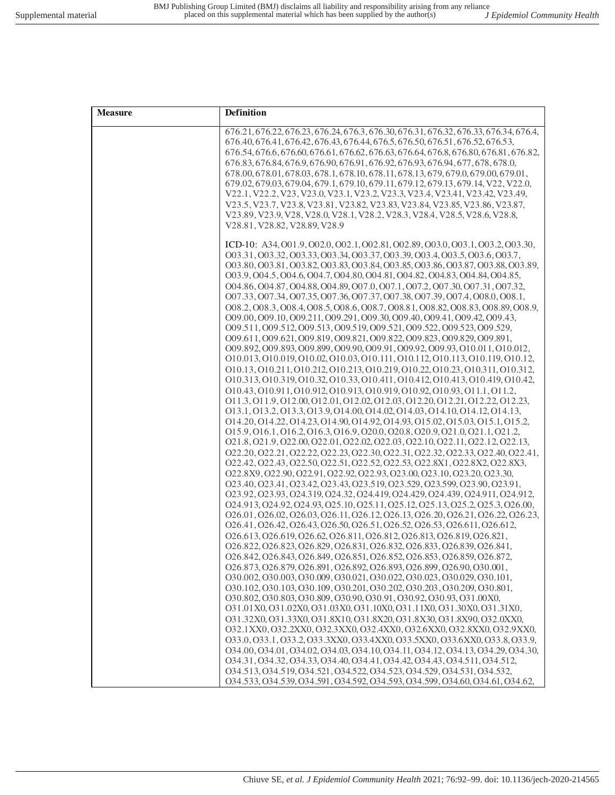| <b>Measure</b> | Definition                                                                                                                                                    |
|----------------|---------------------------------------------------------------------------------------------------------------------------------------------------------------|
|                | 676.21, 676.22, 676.23, 676.24, 676.3, 676.30, 676.31, 676.32, 676.33, 676.34, 676.4,                                                                         |
|                | 676.40, 676.41, 676.42, 676.43, 676.44, 676.5, 676.50, 676.51, 676.52, 676.53,                                                                                |
|                | 676.54, 676.6, 676.60, 676.61, 676.62, 676.63, 676.64, 676.8, 676.80, 676.81, 676.82,                                                                         |
|                | 676.83, 676.84, 676.9, 676.90, 676.91, 676.92, 676.93, 676.94, 677, 678, 678.0,                                                                               |
|                | 678.00, 678.01, 678.03, 678.1, 678.10, 678.11, 678.13, 679, 679.0, 679.00, 679.01,                                                                            |
|                | 679.02, 679.03, 679.04, 679.1, 679.10, 679.11, 679.12, 679.13, 679.14, V22, V22.0,                                                                            |
|                | V22.1, V22.2, V23, V23.0, V23.1, V23.2, V23.3, V23.4, V23.41, V23.42, V23.49,                                                                                 |
|                | V23.5, V23.7, V23.8, V23.81, V23.82, V23.83, V23.84, V23.85, V23.86, V23.87,                                                                                  |
|                | V23.89, V23.9, V28, V28.0, V28.1, V28.2, V28.3, V28.4, V28.5, V28.6, V28.8,                                                                                   |
|                | V28.81, V28.82, V28.89, V28.9                                                                                                                                 |
|                | ICD-10: A34, 001.9, 002.0, 002.1, 002.81, 002.89, 003.0, 003.1, 003.2, 003.30,                                                                                |
|                | 003.31, 003.32, 003.33, 003.34, 003.37, 003.39, 003.4, 003.5, 003.6, 003.7,                                                                                   |
|                | O03.80, O03.81, O03.82, O03.83, O03.84, O03.85, O03.86, O03.87, O03.88, O03.89,                                                                               |
|                | 003.9, 004.5, 004.6, 004.7, 004.80, 004.81, 004.82, 004.83, 004.84, 004.85,                                                                                   |
|                | O04.86, O04.87, O04.88, O04.89, O07.0, O07.1, O07.2, O07.30, O07.31, O07.32,                                                                                  |
|                | 007.33, 007.34, 007.35, 007.36, 007.37, 007.38, 007.39, 007.4, 008.0, 008.1,                                                                                  |
|                | 008.2, 008.3, 008.4, 008.5, 008.6, 008.7, 008.81, 008.82, 008.83, 008.89, 008.9,                                                                              |
|                | 009.00, 009.10, 009.211, 009.291, 009.30, 009.40, 009.41, 009.42, 009.43,                                                                                     |
|                | 009.511, 009.512, 009.513, 009.519, 009.521, 009.522, 009.523, 009.529,                                                                                       |
|                | 009.611, 009.621, 009.819, 009.821, 009.822, 009.823, 009.829, 009.891,                                                                                       |
|                | 009.892, 009.893, 009.899, 009.90, 009.91, 009.92, 009.93, 010.011, 010.012,                                                                                  |
|                | 010.013, 010.019, 010.02, 010.03, 010.111, 010.112, 010.113, 010.119, 010.12,                                                                                 |
|                | 010.13, 010.211, 010.212, 010.213, 010.219, 010.22, 010.23, 010.311, 010.312,                                                                                 |
|                | 010.313, 010.319, 010.32, 010.33, 010.411, 010.412, 010.413, 010.419, 010.42,                                                                                 |
|                | 010.43, 010.911, 010.912, 010.913, 010.919, 010.92, 010.93, 011.1, 011.2,<br>011.3, 011.9, 012.00, 012.01, 012.02, 012.03, 012.20, 012.21, 012.22, 012.23,    |
|                | 013.1, 013.2, 013.3, 013.9, 014.00, 014.02, 014.03, 014.10, 014.12, 014.13,                                                                                   |
|                | 014.20, 014.22, 014.23, 014.90, 014.92, 014.93, 015.02, 015.03, 015.1, 015.2,                                                                                 |
|                | 015.9, 016.1, 016.2, 016.3, 016.9, 020.0, 020.8, 020.9, 021.0, 021.1, 021.2,                                                                                  |
|                | 021.8, 021.9, 022.00, 022.01, 022.02, 022.03, 022.10, 022.11, 022.12, 022.13,                                                                                 |
|                | 022.20, 022.21, 022.22, 022.23, 022.30, 022.31, 022.32, 022.33, 022.40, 022.41,                                                                               |
|                | O22.42, O22.43, O22.50, O22.51, O22.52, O22.53, O22.8X1, O22.8X2, O22.8X3,                                                                                    |
|                | 022.8X9, 022.90, 022.91, 022.92, 022.93, 023.00, 023.10, 023.20, 023.30,                                                                                      |
|                | 023.40, 023.41, 023.42, 023.43, 023.519, 023.529, 023.599, 023.90, 023.91,                                                                                    |
|                | 023.92, 023.93, 024.319, 024.32, 024.419, 024.429, 024.439, 024.911, 024.912,                                                                                 |
|                | 024.913, 024.92, 024.93, 025.10, 025.11, 025.12, 025.13, 025.2, 025.3, 026.00,                                                                                |
|                | 026.01, 026.02, 026.03, 026.11, 026.12, 026.13, 026.20, 026.21, 026.22, 026.23,                                                                               |
|                | 026.41, 026.42, 026.43, 026.50, 026.51, 026.52, 026.53, 026.611, 026.612,                                                                                     |
|                | 026.613, 026.619, 026.62, 026.811, 026.812, 026.813, 026.819, 026.821,                                                                                        |
|                | 026.822, 026.823, 026.829, 026.831, 026.832, 026.833, 026.839, 026.841,                                                                                       |
|                | 026.842, 026.843, 026.849, 026.851, 026.852, 026.853, 026.859, 026.872,                                                                                       |
|                | 026.873, 026.879, 026.891, 026.892, 026.893, 026.899, 026.90, 030.001,                                                                                        |
|                | 030.002, 030.003, 030.009, 030.021, 030.022, 030.023, 030.029, 030.101,                                                                                       |
|                | 030.102, 030.103, 030.109, 030.201, 030.202, 030.203, 030.209, 030.801,                                                                                       |
|                | O30.802, O30.803, O30.809, O30.90, O30.91, O30.92, O30.93, O31.00X0,                                                                                          |
|                | O31.01X0, O31.02X0, O31.03X0, O31.10X0, O31.11X0, O31.30X0, O31.31X0,                                                                                         |
|                | O31.32X0, O31.33X0, O31.8X10, O31.8X20, O31.8X30, O31.8X90, O32.0XX0,                                                                                         |
|                | O32.1XX0, O32.2XX0, O32.3XX0, O32.4XX0, O32.6XX0, O32.8XX0, O32.9XX0,                                                                                         |
|                | 033.0, 033.1, 033.2, 033.3XX0, 033.4XX0, 033.5XX0, 033.6XX0, 033.8, 033.9,<br>034.00, 034.01, 034.02, 034.03, 034.10, 034.11, 034.12, 034.13, 034.29, 034.30, |
|                | 034.31, 034.32, 034.33, 034.40, 034.41, 034.42, 034.43, 034.511, 034.512,                                                                                     |
|                | 034.513, 034.519, 034.521, 034.522, 034.523, 034.529, 034.531, 034.532,                                                                                       |
|                | 034.533, 034.539, 034.591, 034.592, 034.593, 034.599, 034.60, 034.61, 034.62,                                                                                 |
|                |                                                                                                                                                               |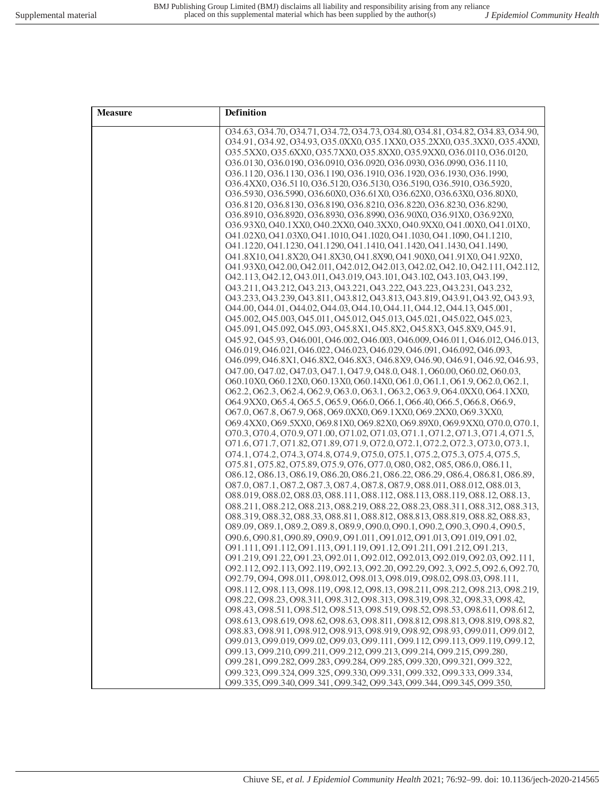| <b>Measure</b> | Definition                                                                                                                                                 |
|----------------|------------------------------------------------------------------------------------------------------------------------------------------------------------|
|                | 034.63, 034.70, 034.71, 034.72, 034.73, 034.80, 034.81, 034.82, 034.83, 034.90,                                                                            |
|                | 034.91, 034.92, 034.93, 035.0XX0, 035.1XX0, 035.2XX0, 035.3XX0, 035.4XX0,                                                                                  |
|                | O35.5XX0, O35.6XX0, O35.7XX0, O35.8XX0, O35.9XX0, O36.0110, O36.0120,                                                                                      |
|                | 036.0130, 036.0190, 036.0910, 036.0920, 036.0930, 036.0990, 036.1110,                                                                                      |
|                | 036.1120, 036.1130, 036.1190, 036.1910, 036.1920, 036.1930, 036.1990,                                                                                      |
|                | 036.4XX0, 036.5110, 036.5120, 036.5130, 036.5190, 036.5910, 036.5920,                                                                                      |
|                | O36.5930, O36.5990, O36.60X0, O36.61X0, O36.62X0, O36.63X0, O36.80X0,                                                                                      |
|                | 036.8120, 036.8130, 036.8190, 036.8210, 036.8220, 036.8230, 036.8290,<br>O36.8910, O36.8920, O36.8930, O36.8990, O36.90X0, O36.91X0, O36.92X0,             |
|                | O36.93X0, O40.1XX0, O40.2XX0, O40.3XX0, O40.9XX0, O41.00X0, O41.01X0,                                                                                      |
|                | O41.02X0, O41.03X0, O41.1010, O41.1020, O41.1030, O41.1090, O41.1210,                                                                                      |
|                | 041.1220, 041.1230, 041.1290, 041.1410, 041.1420, 041.1430, 041.1490,                                                                                      |
|                | O41.8X10, O41.8X20, O41.8X30, O41.8X90, O41.90X0, O41.91X0, O41.92X0,                                                                                      |
|                | 041.93X0, 042.00, 042.011, 042.012, 042.013, 042.02, 042.10, 042.111, 042.112,                                                                             |
|                | 042.113, 042.12, 043.011, 043.019, 043.101, 043.102, 043.103, 043.199,                                                                                     |
|                | 043.211, 043.212, 043.213, 043.221, 043.222, 043.223, 043.231, 043.232,                                                                                    |
|                | 043.233, 043.239, 043.811, 043.812, 043.813, 043.819, 043.91, 043.92, 043.93,                                                                              |
|                | 044.00, 044.01, 044.02, 044.03, 044.10, 044.11, 044.12, 044.13, 045.001,                                                                                   |
|                | 045.002, 045.003, 045.011, 045.012, 045.013, 045.021, 045.022, 045.023,                                                                                    |
|                | 045.091, 045.092, 045.093, 045.8X1, 045.8X2, 045.8X3, 045.8X9, 045.91,                                                                                     |
|                | 045.92, 045.93, 046.001, 046.002, 046.003, 046.009, 046.011, 046.012, 046.013,                                                                             |
|                | 046.019, 046.021, 046.022, 046.023, 046.029, 046.091, 046.092, 046.093,                                                                                    |
|                | 046.099, 046.8X1, 046.8X2, 046.8X3, 046.8X9, 046.90, 046.91, 046.92, 046.93,                                                                               |
|                | 047.00, 047.02, 047.03, 047.1, 047.9, 048.0, 048.1, 060.00, 060.02, 060.03,                                                                                |
|                | O60.10X0, O60.12X0, O60.13X0, O60.14X0, O61.0, O61.1, O61.9, O62.0, O62.1,                                                                                 |
|                | O62.2, O62.3, O62.4, O62.9, O63.0, O63.1, O63.2, O63.9, O64.0XX0, O64.1XX0,<br>O64.9XX0, O65.4, O65.5, O65.9, O66.0, O66.1, O66.40, O66.5, O66.8, O66.9,   |
|                | O67.0, O67.8, O67.9, O68, O69.0XX0, O69.1XX0, O69.2XX0, O69.3XX0,                                                                                          |
|                | O69.4XX0, O69.5XX0, O69.81X0, O69.82X0, O69.89X0, O69.9XX0, O70.0, O70.1,                                                                                  |
|                | 070.3, 070.4, 070.9, 071.00, 071.02, 071.03, 071.1, 071.2, 071.3, 071.4, 071.5,                                                                            |
|                | 071.6, 071.7, 071.82, 071.89, 071.9, 072.0, 072.1, 072.2, 072.3, 073.0, 073.1,                                                                             |
|                | 074.1, 074.2, 074.3, 074.8, 074.9, 075.0, 075.1, 075.2, 075.3, 075.4, 075.5,                                                                               |
|                | 075.81, 075.82, 075.89, 075.9, 076, 077.0, 080, 082, 085, 086.0, 086.11,                                                                                   |
|                | 086.12, 086.13, 086.19, 086.20, 086.21, 086.22, 086.29, 086.4, 086.81, 086.89,                                                                             |
|                | 087.0, 087.1, 087.2, 087.3, 087.4, 087.8, 087.9, 088.011, 088.012, 088.013,                                                                                |
|                | 088.019, 088.02, 088.03, 088.111, 088.112, 088.113, 088.119, 088.12, 088.13,                                                                               |
|                | 088.211, 088.212, 088.213, 088.219, 088.22, 088.23, 088.311, 088.312, 088.313,                                                                             |
|                | 088.319.088.32.088.33.088.811.088.812.088.813.088.819.088.82.088.83.                                                                                       |
|                | 089.09, 089.1, 089.2, 089.8, 089.9, 090.0, 090.1, 090.2, 090.3, 090.4, 090.5,<br>090.6, 090.81, 090.89, 090.9, 091.011, 091.012, 091.013, 091.019, 091.02, |
|                | 091.111, 091.112, 091.113, 091.119, 091.12, 091.211, 091.212, 091.213,                                                                                     |
|                | 091.219, 091.22, 091.23, 092.011, 092.012, 092.013, 092.019, 092.03, 092.111,                                                                              |
|                | 092.112, 092.113, 092.119, 092.13, 092.20, 092.29, 092.3, 092.5, 092.6, 092.70,                                                                            |
|                | 092.79, 094, 098.011, 098.012, 098.013, 098.019, 098.02, 098.03, 098.111,                                                                                  |
|                | 098.112, 098.113, 098.119, 098.12, 098.13, 098.211, 098.212, 098.213, 098.219,                                                                             |
|                | 098.22, 098.23, 098.311, 098.312, 098.313, 098.319, 098.32, 098.33, 098.42,                                                                                |
|                | 098.43, 098.511, 098.512, 098.513, 098.519, 098.52, 098.53, 098.611, 098.612,                                                                              |
|                | 098.613, 098.619, 098.62, 098.63, 098.811, 098.812, 098.813, 098.819, 098.82,                                                                              |
|                | 098.83, 098.911, 098.912, 098.913, 098.919, 098.92, 098.93, 099.011, 099.012,                                                                              |
|                | 099.013, 099.019, 099.02, 099.03, 099.111, 099.112, 099.113, 099.119, 099.12,                                                                              |
|                | 099.13.099.210.099.211.099.212.099.213.099.214.099.215.099.280.                                                                                            |
|                | 099.281, 099.282, 099.283, 099.284, 099.285, 099.320, 099.321, 099.322,                                                                                    |
|                | 099.323, 099.324, 099.325, 099.330, 099.331, 099.332, 099.333, 099.334,                                                                                    |
|                | 099.335, 099.340, 099.341, 099.342, 099.343, 099.344, 099.345, 099.350,                                                                                    |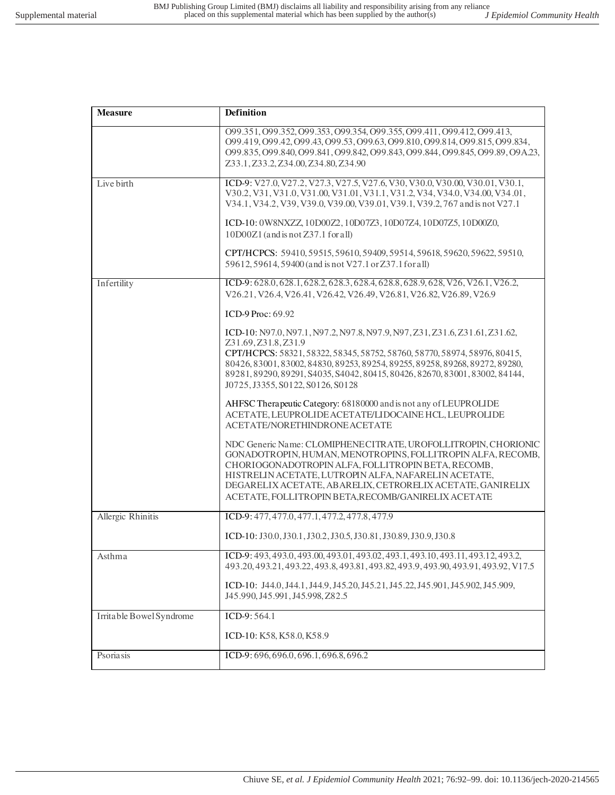| <b>Measure</b>           | Definition                                                                                                                                                                                                                                                                                                                                                                            |
|--------------------------|---------------------------------------------------------------------------------------------------------------------------------------------------------------------------------------------------------------------------------------------------------------------------------------------------------------------------------------------------------------------------------------|
|                          | 099.351, 099.352, 099.353, 099.354, 099.355, 099.411, 099.412, 099.413,<br>099.419, 099.42, 099.43, 099.53, 099.63, 099.810, 099.814, 099.815, 099.834,<br>O99.835, O99.840, O99.841, O99.842, O99.843, O99.844, O99.845, O99.89, O9A.23,<br>Z33.1, Z33.2, Z34.00, Z34.80, Z34.90                                                                                                     |
| Live birth               | ICD-9: V27.0, V27.2, V27.3, V27.5, V27.6, V30, V30.0, V30.00, V30.01, V30.1,<br>V30.2, V31, V31.0, V31.00, V31.01, V31.1, V31.2, V34, V34.0, V34.00, V34.01,<br>V34.1, V34.2, V39, V39.0, V39.00, V39.01, V39.1, V39.2, 767 and is not V27.1                                                                                                                                          |
|                          | ICD-10: 0W8NXZZ, 10D00Z2, 10D07Z3, 10D07Z4, 10D07Z5, 10D00Z0,<br>$10D00Z1$ (and is not Z37.1 for all)                                                                                                                                                                                                                                                                                 |
|                          | CPT/HCPCS: 59410, 59515, 59610, 59409, 59514, 59618, 59620, 59622, 59510,<br>59612, 59614, 59400 (and is not V27.1 or Z37.1 for all)                                                                                                                                                                                                                                                  |
| Infertility              | ICD-9: 628.0, 628.1, 628.2, 628.3, 628.4, 628.8, 628.9, 628, V26, V26.1, V26.2,<br>V26.21, V26.4, V26.41, V26.42, V26.49, V26.81, V26.82, V26.89, V26.9                                                                                                                                                                                                                               |
|                          | ICD-9 Proc: 69.92                                                                                                                                                                                                                                                                                                                                                                     |
|                          | ICD-10: N97.0, N97.1, N97.2, N97.8, N97.9, N97, Z31, Z31.6, Z31.61, Z31.62,<br>Z31.69, Z31.8, Z31.9<br>CPT/HCPCS: 58321, 58322, 58345, 58752, 58760, 58770, 58974, 58976, 80415,<br>80426, 83001, 83002, 84830, 89253, 89254, 89255, 89258, 89268, 89272, 89280,<br>89281, 89290, 89291, S4035, S4042, 80415, 80426, 82670, 83001, 83002, 84144,<br>J0725, J3355, S0122, S0126, S0128 |
|                          | AHFSC Therapeutic Category: 68180000 and is not any of LEUPROLIDE<br>ACETATE, LEUPROLIDE ACETATE/LIDOCAINE HCL, LEUPROLIDE<br>ACETATE/NORETHINDRONE ACETATE                                                                                                                                                                                                                           |
|                          | NDC Generic Name: CLOMIPHENECITRATE, UROFOLLITROPIN, CHORIONIC<br>GONADOTROPIN, HUMAN, MENOTROPINS, FOLLITROPIN ALFA, RECOMB,<br>CHORIOGONADOTROPIN ALFA, FOLLITROPIN BETA, RECOMB,<br>HISTRELIN ACETATE, LUTROPIN ALFA, NAFARELIN ACETATE,<br>DEGARELIX ACETATE, ABARELIX, CETRORELIX ACETATE, GANIRELIX<br>ACETATE, FOLLITROPIN BETA, RECOMB/GANIRELIX ACETATE                      |
| Allergic Rhinitis        | ICD-9: 477, 477.0, 477.1, 477.2, 477.8, 477.9                                                                                                                                                                                                                                                                                                                                         |
|                          | ICD-10: J30.0, J30.1, J30.2, J30.5, J30.81, J30.89, J30.9, J30.8                                                                                                                                                                                                                                                                                                                      |
| Asthma                   | ICD-9: 493, 493.0, 493.00, 493.01, 493.02, 493.1, 493.10, 493.11, 493.12, 493.2,<br>493.20, 493.21, 493.22, 493.8, 493.81, 493.82, 493.9, 493.90, 493.91, 493.92, V17.5                                                                                                                                                                                                               |
|                          | ICD-10: J44.0, J44.1, J44.9, J45.20, J45.21, J45.22, J45.901, J45.902, J45.909,<br>J45.990, J45.991, J45.998, Z82.5                                                                                                                                                                                                                                                                   |
| Irritable Bowel Syndrome | ICD-9: 564.1                                                                                                                                                                                                                                                                                                                                                                          |
|                          | ICD-10: K58, K58.0, K58.9                                                                                                                                                                                                                                                                                                                                                             |
| Psoriasis                | ICD-9: 696, 696.0, 696.1, 696.8, 696.2                                                                                                                                                                                                                                                                                                                                                |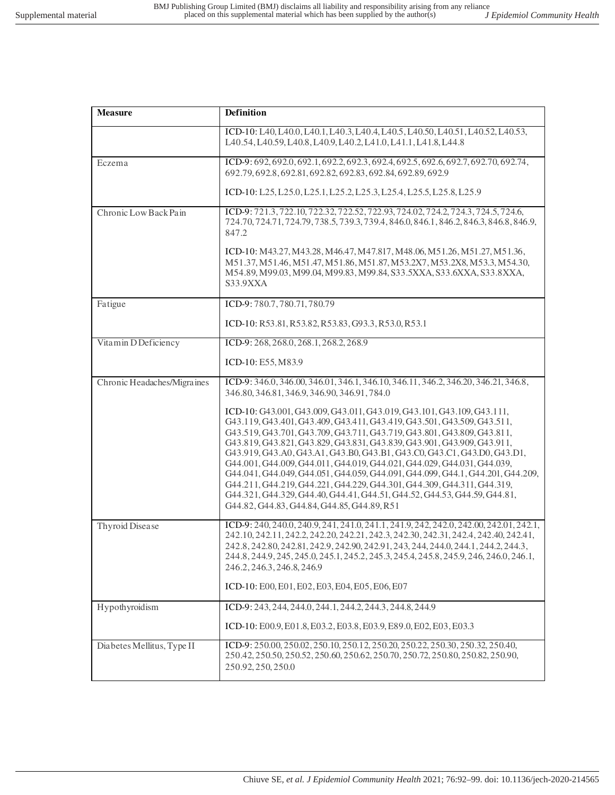| <b>Measure</b>              | Definition                                                                                                                                                                                                                                                                                                                                                                                                                                                                                                                                                                                                                                                                                                                                              |
|-----------------------------|---------------------------------------------------------------------------------------------------------------------------------------------------------------------------------------------------------------------------------------------------------------------------------------------------------------------------------------------------------------------------------------------------------------------------------------------------------------------------------------------------------------------------------------------------------------------------------------------------------------------------------------------------------------------------------------------------------------------------------------------------------|
|                             | ICD-10: L40, L40.0, L40.1, L40.3, L40.4, L40.5, L40.50, L40.51, L40.52, L40.53,<br>L40.54, L40.59, L40.8, L40.9, L40.2, L41.0, L41.1, L41.8, L44.8                                                                                                                                                                                                                                                                                                                                                                                                                                                                                                                                                                                                      |
| Eczema                      | ICD-9: 692, 692.0, 692.1, 692.2, 692.3, 692.4, 692.5, 692.6, 692.7, 692.70, 692.74,<br>692.79, 692.8, 692.81, 692.82, 692.83, 692.84, 692.89, 692.9                                                                                                                                                                                                                                                                                                                                                                                                                                                                                                                                                                                                     |
|                             | ICD-10: L25, L25.0, L25.1, L25.2, L25.3, L25.4, L25.5, L25.8, L25.9                                                                                                                                                                                                                                                                                                                                                                                                                                                                                                                                                                                                                                                                                     |
| Chronic Low Back Pain       | ICD-9: 721.3, 722.10, 722.32, 722.52, 722.93, 724.02, 724.2, 724.3, 724.5, 724.6,<br>724.70, 724.71, 724.79, 738.5, 739.3, 739.4, 846.0, 846.1, 846.2, 846.3, 846.8, 846.9,<br>847.2                                                                                                                                                                                                                                                                                                                                                                                                                                                                                                                                                                    |
|                             | ICD-10: M43.27, M43.28, M46.47, M47.817, M48.06, M51.26, M51.27, M51.36,<br>M51.37, M51.46, M51.47, M51.86, M51.87, M53.2X7, M53.2X8, M53.3, M54.30,<br>M54.89, M99.03, M99.04, M99.83, M99.84, S33.5XXA, S33.6XXA, S33.8XXA,<br>S33.9XXA                                                                                                                                                                                                                                                                                                                                                                                                                                                                                                               |
| Fatigue                     | ICD-9:780.7,780.71,780.79                                                                                                                                                                                                                                                                                                                                                                                                                                                                                                                                                                                                                                                                                                                               |
|                             | ICD-10: R53.81, R53.82, R53.83, G93.3, R53.0, R53.1                                                                                                                                                                                                                                                                                                                                                                                                                                                                                                                                                                                                                                                                                                     |
| Vitamin D Deficiency        | ICD-9: 268, 268.0, 268.1, 268.2, 268.9                                                                                                                                                                                                                                                                                                                                                                                                                                                                                                                                                                                                                                                                                                                  |
|                             | ICD-10: E55, M83.9                                                                                                                                                                                                                                                                                                                                                                                                                                                                                                                                                                                                                                                                                                                                      |
| Chronic Headaches/Migraines | ICD-9: 346.0, 346.00, 346.01, 346.1, 346.10, 346.11, 346.2, 346.20, 346.21, 346.8,<br>346.80, 346.81, 346.9, 346.90, 346.91, 784.0                                                                                                                                                                                                                                                                                                                                                                                                                                                                                                                                                                                                                      |
|                             | ICD-10: G43.001, G43.009, G43.011, G43.019, G43.101, G43.109, G43.111,<br>G43.119, G43.401, G43.409, G43.411, G43.419, G43.501, G43.509, G43.511,<br>G43.519, G43.701, G43.709, G43.711, G43.719, G43.801, G43.809, G43.811,<br>G43.819, G43.821, G43.829, G43.831, G43.839, G43.901, G43.909, G43.911,<br>G43.919, G43.A0, G43.A1, G43.B0, G43.B1, G43.C0, G43.C1, G43.D0, G43.D1,<br>G44.001, G44.009, G44.011, G44.019, G44.021, G44.029, G44.031, G44.039,<br>G44.041, G44.049, G44.051, G44.059, G44.091, G44.099, G44.1, G44.201, G44.209,<br>G44.211, G44.219, G44.221, G44.229, G44.301, G44.309, G44.311, G44.319,<br>G44.321, G44.329, G44.40, G44.41, G44.51, G44.52, G44.53, G44.59, G44.81,<br>G44.82, G44.83, G44.84, G44.85, G44.89, R51 |
| Thyroid Disease             | ICD-9: 240, 240.0, 240.9, 241, 241.0, 241.1, 241.9, 242, 242.0, 242.00, 242.01, 242.1,<br>242.10, 242.11, 242.2, 242.20, 242.21, 242.3, 242.30, 242.31, 242.4, 242.40, 242.41,<br>242.8, 242.80, 242.81, 242.9, 242.90, 242.91, 243, 244, 244.0, 244.1, 244.2, 244.3,<br>244.8, 244.9, 245.245.0, 245.1, 245.2, 245.3, 245.4, 245.8, 245.9, 246, 246.0, 246.1,<br>246.2, 246.3, 246.8, 246.9                                                                                                                                                                                                                                                                                                                                                            |
|                             | ICD-10: E00, E01, E02, E03, E04, E05, E06, E07                                                                                                                                                                                                                                                                                                                                                                                                                                                                                                                                                                                                                                                                                                          |
| Hypothyroidism              | ICD-9: 243, 244, 244.0, 244.1, 244.2, 244.3, 244.8, 244.9                                                                                                                                                                                                                                                                                                                                                                                                                                                                                                                                                                                                                                                                                               |
|                             | ICD-10: E00.9, E01.8, E03.2, E03.8, E03.9, E89.0, E02, E03, E03.3                                                                                                                                                                                                                                                                                                                                                                                                                                                                                                                                                                                                                                                                                       |
| Diabetes Mellitus, Type II  | ICD-9: 250.00, 250.02, 250.10, 250.12, 250.20, 250.22, 250.30, 250.32, 250.40,<br>250.42, 250.50, 250.52, 250.60, 250.62, 250.70, 250.72, 250.80, 250.82, 250.90,<br>250.92, 250, 250.0                                                                                                                                                                                                                                                                                                                                                                                                                                                                                                                                                                 |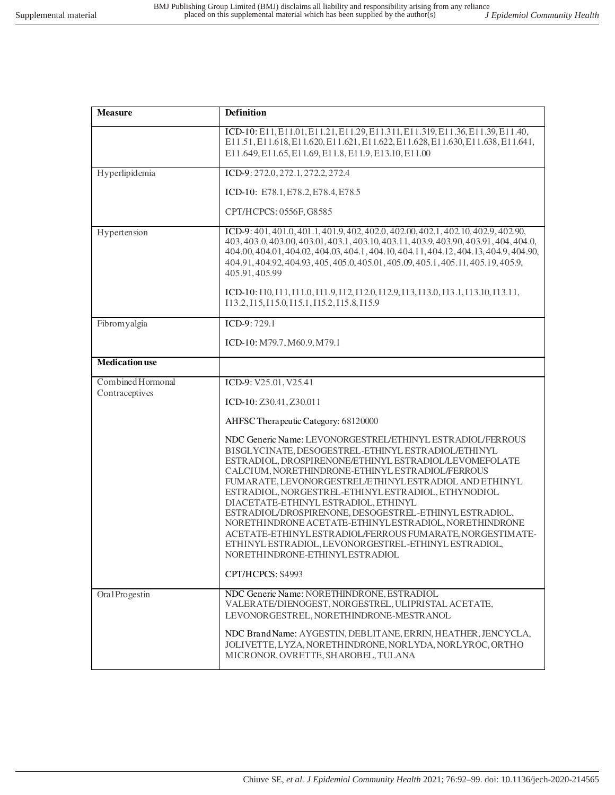| <b>Measure</b>                      | Definition                                                                                                                                                                                                                                                                                                                                                                                                                                                                                                                                                                                                                                                       |
|-------------------------------------|------------------------------------------------------------------------------------------------------------------------------------------------------------------------------------------------------------------------------------------------------------------------------------------------------------------------------------------------------------------------------------------------------------------------------------------------------------------------------------------------------------------------------------------------------------------------------------------------------------------------------------------------------------------|
|                                     | ICD-10: E11, E11.01, E11.21, E11.29, E11.311, E11.319, E11.36, E11.39, E11.40,<br>E11.51, E11.618, E11.620, E11.621, E11.622, E11.628, E11.630, E11.638, E11.641,<br>E11.649, E11.65, E11.69, E11.8, E11.9, E13.10, E11.00                                                                                                                                                                                                                                                                                                                                                                                                                                       |
| Hyperlipidemia                      | ICD-9: 272.0, 272.1, 272.2, 272.4                                                                                                                                                                                                                                                                                                                                                                                                                                                                                                                                                                                                                                |
|                                     | ICD-10: E78.1, E78.2, E78.4, E78.5                                                                                                                                                                                                                                                                                                                                                                                                                                                                                                                                                                                                                               |
|                                     | CPT/HCPCS: 0556F, G8585                                                                                                                                                                                                                                                                                                                                                                                                                                                                                                                                                                                                                                          |
| Hypertension                        | ICD-9: 401, 401.0, 401.1, 401.9, 402, 402.0, 402.00, 402.1, 402.10, 402.9, 402.90,<br>403, 403.0, 403.00, 403.01, 403.1, 403.10, 403.11, 403.9, 403.90, 403.91, 404, 404.0,<br>404.00, 404.01, 404.02, 404.03, 404.1, 404.10, 404.11, 404.12, 404.13, 404.9, 404.90,<br>404.91, 404.92, 404.93, 405, 405.0, 405.01, 405.09, 405.1, 405.11, 405.19, 405.9,<br>405.91,405.99                                                                                                                                                                                                                                                                                       |
|                                     | ICD-10: 110, I11, I11.0, I11.9, I12, I12.0, I12.9, I13, I13.0, I13.1, I13.10, I13.11,<br>113.2, 115, 115.0, 115.1, 115.2, 115.8, 115.9                                                                                                                                                                                                                                                                                                                                                                                                                                                                                                                           |
| Fibromyalgia                        | ICD-9:729.1                                                                                                                                                                                                                                                                                                                                                                                                                                                                                                                                                                                                                                                      |
|                                     | ICD-10: M79.7, M60.9, M79.1                                                                                                                                                                                                                                                                                                                                                                                                                                                                                                                                                                                                                                      |
| <b>Medication</b> use               |                                                                                                                                                                                                                                                                                                                                                                                                                                                                                                                                                                                                                                                                  |
| Combined Hormonal<br>Contraceptives | ICD-9: V25.01, V25.41                                                                                                                                                                                                                                                                                                                                                                                                                                                                                                                                                                                                                                            |
|                                     | ICD-10: Z30.41, Z30.011                                                                                                                                                                                                                                                                                                                                                                                                                                                                                                                                                                                                                                          |
|                                     | AHFSC Therapeutic Category: 68120000                                                                                                                                                                                                                                                                                                                                                                                                                                                                                                                                                                                                                             |
|                                     | NDC Generic Name: LEVONORGESTREL/ETHINYL ESTRADIOL/FERROUS<br>BISGLYCINATE, DESOGESTREL-ETHINYL ESTRADIOL/ETHINYL<br>ESTRADIOL, DROSPIRENONE/ETHINYL ESTRADIOL/LEVOMEFOLATE<br>CALCIUM, NORETHINDRONE-ETHINYL ESTRADIOL/FERROUS<br>FUMARATE, LEVONORGESTREL/ETHINYL ESTRADIOL AND ETHINYL<br>ESTRADIOL, NORGESTREL-ETHINYLESTRADIOL, ETHYNODIOL<br>DIACETATE-ETHINYL ESTRADIOL, ETHINYL<br>ESTRADIOL/DROSPIRENONE, DESOGESTREL-ETHINYL ESTRADIOL,<br>NORETHINDRONE ACETATE-ETHINYLESTRADIOL, NORETHINDRONE<br>ACETATE-ETHINYLESTRADIOL/FERROUS FUMARATE, NORGESTIMATE-<br>ETHINYL ESTRADIOL, LEVONORGESTREL-ETHINYL ESTRADIOL,<br>NORETHINDRONE-ETHINYLESTRADIOL |
|                                     | CPT/HCPCS: S4993                                                                                                                                                                                                                                                                                                                                                                                                                                                                                                                                                                                                                                                 |
| OralProgestin                       | NDC Generic Name: NORETHINDRONE, ESTRADIOL<br>VALERATE/DIENOGEST, NORGESTREL, ULIPRISTAL ACETATE,<br>LEVONORGESTREL, NORETHINDRONE-MESTRANOL                                                                                                                                                                                                                                                                                                                                                                                                                                                                                                                     |
|                                     | NDC BrandName: AYGESTIN, DEBLITANE, ERRIN, HEATHER, JENCYCLA,<br>JOLIVETTE, LYZA, NORETHINDRONE, NORLYDA, NORLYROC, ORTHO<br>MICRONOR, OVRETTE, SHAROBEL, TULANA                                                                                                                                                                                                                                                                                                                                                                                                                                                                                                 |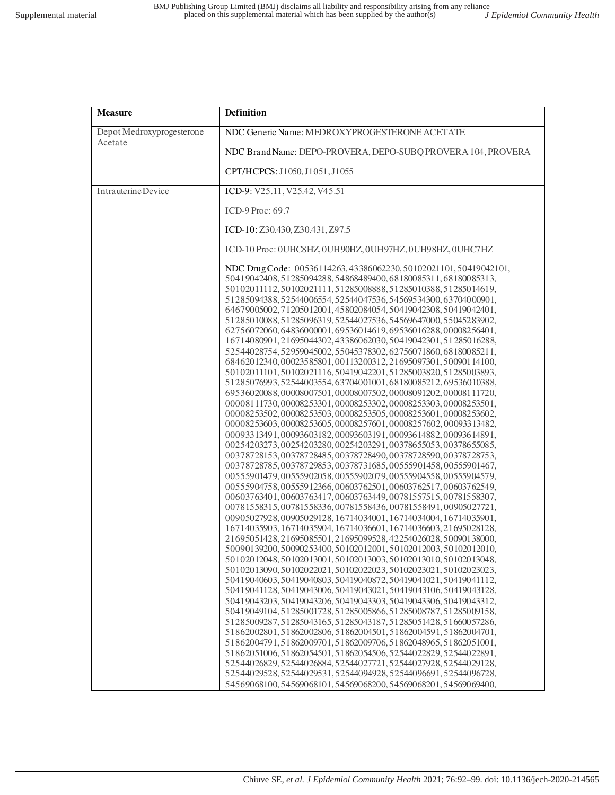| <b>Measure</b>            | <b>Definition</b>                                                                                                                                                                                                                                                                                                                                                                                                                                                                                                                                                                                                                                                                                                                                                                                                                                                                                                                                                                                                                                                                                                                                                                                                                                                                                                                                                                                                                                                                                                                                                                                                                                                                                                                                                                                                                                                                                                                                                                                                                                                                                                                                                                                                                                                                                                                                                                                                                                                                                                                                                                                                                                                                                                                     |
|---------------------------|---------------------------------------------------------------------------------------------------------------------------------------------------------------------------------------------------------------------------------------------------------------------------------------------------------------------------------------------------------------------------------------------------------------------------------------------------------------------------------------------------------------------------------------------------------------------------------------------------------------------------------------------------------------------------------------------------------------------------------------------------------------------------------------------------------------------------------------------------------------------------------------------------------------------------------------------------------------------------------------------------------------------------------------------------------------------------------------------------------------------------------------------------------------------------------------------------------------------------------------------------------------------------------------------------------------------------------------------------------------------------------------------------------------------------------------------------------------------------------------------------------------------------------------------------------------------------------------------------------------------------------------------------------------------------------------------------------------------------------------------------------------------------------------------------------------------------------------------------------------------------------------------------------------------------------------------------------------------------------------------------------------------------------------------------------------------------------------------------------------------------------------------------------------------------------------------------------------------------------------------------------------------------------------------------------------------------------------------------------------------------------------------------------------------------------------------------------------------------------------------------------------------------------------------------------------------------------------------------------------------------------------------------------------------------------------------------------------------------------------|
| Depot Medroxyprogesterone | NDC Generic Name: MEDROXYPROGESTERONE ACETATE                                                                                                                                                                                                                                                                                                                                                                                                                                                                                                                                                                                                                                                                                                                                                                                                                                                                                                                                                                                                                                                                                                                                                                                                                                                                                                                                                                                                                                                                                                                                                                                                                                                                                                                                                                                                                                                                                                                                                                                                                                                                                                                                                                                                                                                                                                                                                                                                                                                                                                                                                                                                                                                                                         |
| Acetate                   | NDC Brand Name: DEPO-PROVERA, DEPO-SUBQ PROVERA 104, PROVERA                                                                                                                                                                                                                                                                                                                                                                                                                                                                                                                                                                                                                                                                                                                                                                                                                                                                                                                                                                                                                                                                                                                                                                                                                                                                                                                                                                                                                                                                                                                                                                                                                                                                                                                                                                                                                                                                                                                                                                                                                                                                                                                                                                                                                                                                                                                                                                                                                                                                                                                                                                                                                                                                          |
|                           | CPT/HCPCS: J1050, J1051, J1055                                                                                                                                                                                                                                                                                                                                                                                                                                                                                                                                                                                                                                                                                                                                                                                                                                                                                                                                                                                                                                                                                                                                                                                                                                                                                                                                                                                                                                                                                                                                                                                                                                                                                                                                                                                                                                                                                                                                                                                                                                                                                                                                                                                                                                                                                                                                                                                                                                                                                                                                                                                                                                                                                                        |
| Intrauterine Device       | ICD-9: V25.11, V25.42, V45.51                                                                                                                                                                                                                                                                                                                                                                                                                                                                                                                                                                                                                                                                                                                                                                                                                                                                                                                                                                                                                                                                                                                                                                                                                                                                                                                                                                                                                                                                                                                                                                                                                                                                                                                                                                                                                                                                                                                                                                                                                                                                                                                                                                                                                                                                                                                                                                                                                                                                                                                                                                                                                                                                                                         |
|                           | ICD-9 Proc: 69.7                                                                                                                                                                                                                                                                                                                                                                                                                                                                                                                                                                                                                                                                                                                                                                                                                                                                                                                                                                                                                                                                                                                                                                                                                                                                                                                                                                                                                                                                                                                                                                                                                                                                                                                                                                                                                                                                                                                                                                                                                                                                                                                                                                                                                                                                                                                                                                                                                                                                                                                                                                                                                                                                                                                      |
|                           | ICD-10: Z30.430, Z30.431, Z97.5                                                                                                                                                                                                                                                                                                                                                                                                                                                                                                                                                                                                                                                                                                                                                                                                                                                                                                                                                                                                                                                                                                                                                                                                                                                                                                                                                                                                                                                                                                                                                                                                                                                                                                                                                                                                                                                                                                                                                                                                                                                                                                                                                                                                                                                                                                                                                                                                                                                                                                                                                                                                                                                                                                       |
|                           | ICD-10 Proc: 0UHC8HZ, 0UH90HZ, 0UH97HZ, 0UH98HZ, 0UHC7HZ                                                                                                                                                                                                                                                                                                                                                                                                                                                                                                                                                                                                                                                                                                                                                                                                                                                                                                                                                                                                                                                                                                                                                                                                                                                                                                                                                                                                                                                                                                                                                                                                                                                                                                                                                                                                                                                                                                                                                                                                                                                                                                                                                                                                                                                                                                                                                                                                                                                                                                                                                                                                                                                                              |
|                           | NDC DrugCode: 00536114263, 43386062230, 50102021101, 50419042101,<br>50419042408, 51285094288, 54868489400, 68180085311, 68180085313,<br>50102011112,50102021111,51285008888,51285010388,51285014619,<br>51285094388,52544006554,52544047536,54569534300,63704000901,<br>64679005002, 71205012001, 45802084054, 50419042308, 50419042401,<br>51285010088,51285096319,52544027536,54569647000,55045283902,<br>62756072060, 64836000001, 69536014619, 69536016288, 00008256401,<br>16714080901, 21695044302, 43386062030, 50419042301, 51285016288,<br>52544028754,52959045002,55045378302,62756071860,68180085211,<br>68462012340, 00023585801, 00113200312, 21695097301, 50090114100,<br>50102011101,50102021116,50419042201,51285003820,51285003893,<br>51285076993,52544003554,63704001001,68180085212,69536010388,<br>69536020088,00008007501,00008007502,00008091202,00008111720,<br>00008111730,00008253301,00008253302,00008253303,00008253501,<br>00008253502,00008253503,00008253505,00008253601,00008253602,<br>00008253603,00008253605,00008257601,00008257602,00093313482,<br>00093313491,00093603182,00093603191,00093614882,00093614891,<br>00254203273,00254203280,00254203291,00378655053,00378655085,<br>00378728153,00378728485,00378728490,00378728590,00378728753,<br>00378728785,00378729853,00378731685,00555901458,00555901467,<br>00555901479,00555902058,00555902079,00555904558,00555904579,<br>00555904758,00555912366,00603762501,00603762517,00603762549,<br>00603763401,00603763417,00603763449,00781557515,00781558307,<br>00781558315,00781558336,00781558436,00781558491,00905027721,<br>00905027928, 00905029128, 16714034001, 16714034004, 16714035901,<br>16714035903, 16714035904, 16714036601, 16714036603, 21695028128,<br>21695051428, 21695085501, 21695099528, 42254026028, 50090138000,<br>50090139200, 50090253400, 50102012001, 50102012003, 50102012010,<br>50102012048, 50102013001, 50102013003, 50102013010, 50102013048,<br>50102013090, 50102022021, 50102022023, 50102023021, 50102023023,<br>50419040603,50419040803,50419040872,50419041021,50419041112,<br>50419041128, 50419043006, 50419043021, 50419043106, 50419043128,<br>50419043203, 50419043206, 50419043303, 50419043306, 50419043312,<br>50419049104, 51285001728, 51285005866, 51285008787, 51285009158,<br>51285009287,51285043165,51285043187,51285051428,51660057286,<br>51862002801, 51862002806, 51862004501, 51862004591, 51862004701,<br>51862004791,51862009701,51862009706,51862048965,51862051001,<br>51862051006, 51862054501, 51862054506, 52544022829, 52544022891,<br>52544026829.52544026884.52544027721.52544027928.52544029128.<br>52544029528, 52544029531, 52544094928, 52544096691, 52544096728, |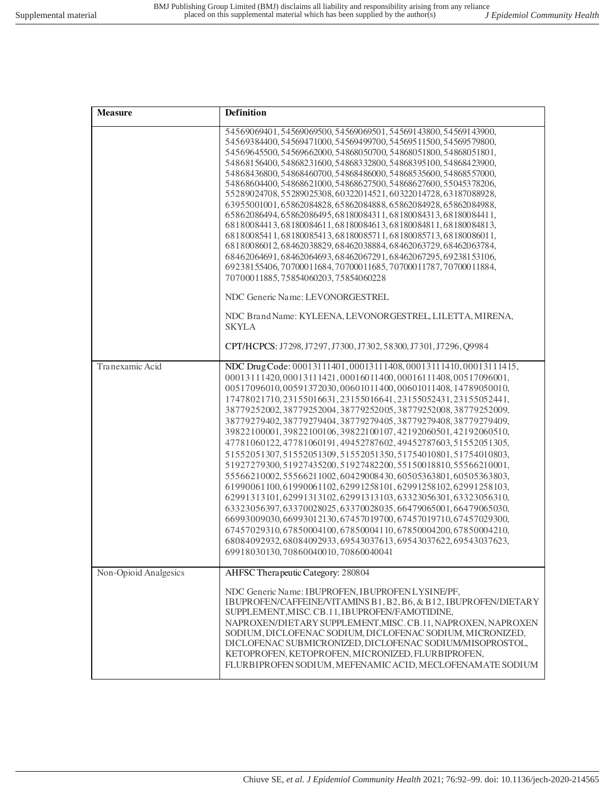| <b>Measure</b>        | <b>Definition</b>                                                                                                                                                                                                                                                                                                                                                                                                                                                                                                                                                                                                                                                                                                                                                                                                                                                                                                                                                                                                                                                                                                                                                                             |
|-----------------------|-----------------------------------------------------------------------------------------------------------------------------------------------------------------------------------------------------------------------------------------------------------------------------------------------------------------------------------------------------------------------------------------------------------------------------------------------------------------------------------------------------------------------------------------------------------------------------------------------------------------------------------------------------------------------------------------------------------------------------------------------------------------------------------------------------------------------------------------------------------------------------------------------------------------------------------------------------------------------------------------------------------------------------------------------------------------------------------------------------------------------------------------------------------------------------------------------|
|                       | 54569069401,54569069500,54569069501,54569143800,54569143900,<br>54569384400, 54569471000, 54569499700, 54569511500, 54569579800,<br>54569645500, 54569662000, 54868050700, 54868051800, 54868051801,<br>54868156400, 54868231600, 54868332800, 54868395100, 54868423900,<br>54868436800, 54868460700, 54868486000, 54868535600, 54868557000,<br>54868604400, 54868621000, 54868627500, 54868627600, 55045378206,<br>55289024708,55289025308,60322014521,60322014728,63187088928,<br>63955001001,65862084828,65862084888,65862084928,65862084988,<br>65862086494, 65862086495, 68180084311, 68180084313, 68180084411,<br>68180084413, 68180084611, 68180084613, 68180084811, 68180084813,<br>68180085411.68180085413.68180085711.68180085713.68180086011.<br>68180086012,68462038829,68462038884,68462063729,68462063784,<br>68462064691,68462064693,68462067291,68462067295,69238153106,<br>69238155406,70700011684,70700011685,70700011787,70700011884,<br>70700011885,75854060203,75854060228                                                                                                                                                                                               |
|                       | NDC Generic Name: LEVONORGESTREL<br>NDC Brand Name: KYLEENA, LEVONORGESTREL, LILETTA, MIRENA,<br><b>SKYLA</b><br>CPT/HCPCS: J7298, J7297, J7300, J7302, 58300, J7301, J7296, Q9984                                                                                                                                                                                                                                                                                                                                                                                                                                                                                                                                                                                                                                                                                                                                                                                                                                                                                                                                                                                                            |
| Tranexamic Acid       | NDC Drug Code: 00013111401, 00013111408, 00013111410, 00013111415,<br>00013111420,00013111421,00016011400,00016111408,00517096001,<br>00517096010,00591372030,00601011400,00601011408,14789050010,<br>17478021710, 23155016631, 23155016641, 23155052431, 23155052441,<br>38779252002, 38779252004, 38779252005, 38779252008, 38779252009,<br>38779279402, 38779279404, 38779279405, 38779279408, 38779279409,<br>39822100001,39822100106,39822100107,42192060501,42192060510,<br>47781060122, 47781060191, 49452787602, 49452787603, 51552051305,<br>51552051307,51552051309,51552051350,51754010801,51754010803,<br>51927279300,51927435200,51927482200,55150018810,55566210001,<br>55566210002,55566211002,60429008430,60505363801,60505363803,<br>61990061100,61990061102,62991258101,62991258102,62991258103,<br>62991313101,62991313102,62991313103,63323056301,63323056310,<br>63323056397,63370028025,63370028035,66479065001,66479065030,<br>66993009030, 66993012130, 67457019700, 67457019710, 67457029300,<br>67457029310,67850004100,67850004110,67850004200,67850004210,<br>68084092932,68084092933,69543037613,69543037622,69543037623,<br>69918030130,70860040010,70860040041 |
| Non-Opioid Analgesics | AHFSC Therapeutic Category: 280804<br>NDC Generic Name: IBUPROFEN, IBUPROFEN LYSINE/PF,<br>IBUPROFEN/CAFFEINE/VITAMINS B1, B2, B6, & B12, IBUPROFEN/DIETARY<br>SUPPLEMENT, MISC. CB.11, IBUPROFEN/FAMOTIDINE,<br>NAPROXEN/DIETARY SUPPLEMENT, MISC. CB.11, NAPROXEN, NAPROXEN<br>SODIUM, DICLOFENAC SODIUM, DICLOFENAC SODIUM, MICRONIZED,<br>DICLOFENAC SUBMICRONIZED, DICLOFENAC SODIUM/MISOPROSTOL,<br>KETOPROFEN, KETOPROFEN, MICRONIZED, FLURBIPROFEN,<br>FLURBIPROFEN SODIUM, MEFENAMIC ACID, MECLOFENAMATE SODIUM                                                                                                                                                                                                                                                                                                                                                                                                                                                                                                                                                                                                                                                                      |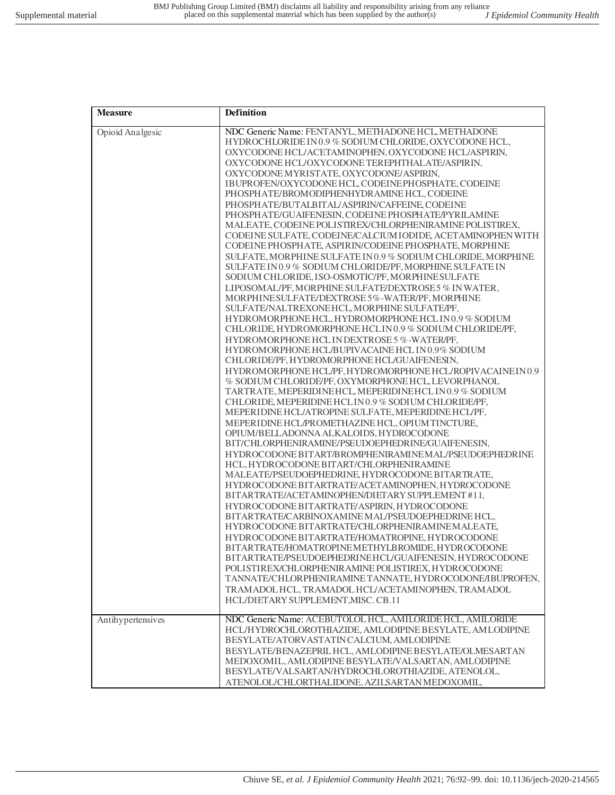| <b>Measure</b>    | Definition                                                                                                                                                                                                                                                                                                                                                                                                                                                                                                                                                                                                                                                                                                                                                                                                                                                                                                                                                                                                                                                                                                                                                                                                                                                                                                                                                                                                                                                                                                                                                                                                                                                                                                                                                                                                                                                                                                                                                                                                                                                                                                                                                                                                                                                                                                                                                                                                                                                                                                                                     |
|-------------------|------------------------------------------------------------------------------------------------------------------------------------------------------------------------------------------------------------------------------------------------------------------------------------------------------------------------------------------------------------------------------------------------------------------------------------------------------------------------------------------------------------------------------------------------------------------------------------------------------------------------------------------------------------------------------------------------------------------------------------------------------------------------------------------------------------------------------------------------------------------------------------------------------------------------------------------------------------------------------------------------------------------------------------------------------------------------------------------------------------------------------------------------------------------------------------------------------------------------------------------------------------------------------------------------------------------------------------------------------------------------------------------------------------------------------------------------------------------------------------------------------------------------------------------------------------------------------------------------------------------------------------------------------------------------------------------------------------------------------------------------------------------------------------------------------------------------------------------------------------------------------------------------------------------------------------------------------------------------------------------------------------------------------------------------------------------------------------------------------------------------------------------------------------------------------------------------------------------------------------------------------------------------------------------------------------------------------------------------------------------------------------------------------------------------------------------------------------------------------------------------------------------------------------------------|
| Opioid Analgesic  | NDC Generic Name: FENTANYL, METHADONE HCL, METHADONE<br>HYDROCHLORIDE IN 0.9 % SODIUM CHLORIDE, OXYCODONE HCL,<br>OXYCODONE HCL/ACETAMINOPHEN, OXYCODONE HCL/ASPIRIN,<br>OXYCODONE HCL/OXYCODONE TEREPHTHALATE/ASPIRIN,<br>OXYCODONE MYRISTATE, OXYCODONE/ASPIRIN,<br>IBUPROFEN/OXYCODONE HCL, CODEINEPHOSPHATE, CODEINE<br>PHOSPHATE/BROMODIPHENHYDRAMINE HCL, CODEINE<br>PHOSPHATE/BUTALBITAL/ASPIRIN/CAFFEINE, CODEINE<br>PHOSPHATE/GUAIFENESIN, CODEINE PHOSPHATE/PYRILAMINE<br>MALEATE, CODEINE POLISTIREX/CHLORPHENIRAMINE POLISTIREX,<br>CODEINE SULFATE, CODEINE/CALCIUM IODIDE, ACETAMINOPHEN WITH<br>CODEINE PHOSPHATE, ASPIRIN/CODEINE PHOSPHATE, MORPHINE<br>SULFATE, MORPHINE SULFATE IN 0.9 % SODIUM CHLORIDE, MORPHINE<br>SULFATE IN 0.9 % SODIUM CHLORIDE/PF, MORPHINE SULFATE IN<br>SODIUM CHLORIDE, ISO-OSMOTIC/PF, MORPHINE SULFATE<br>LIPOSOMAL/PF, MORPHINE SULFATE/DEXTROSE 5 % IN WATER,<br>MORPHINE SULFATE/DEXTROSE 5%-WATER/PF, MORPHINE<br>SULFATE/NALTREXONEHCL, MORPHINE SULFATE/PF,<br>HYDROMORPHONE HCL, HYDROMORPHONE HCL IN 0.9 % SODIUM<br>CHLORIDE, HYDROMORPHONE HCLIN0.9 % SODIUM CHLORIDE/PF,<br>HYDROMORPHONE HCL IN DEXTROSE 5 %-WATER/PF,<br>HYDROMORPHONE HCL/BUPIVACAINE HCL IN 0.9% SODIUM<br>CHLORIDE/PF, HYDROMORPHONE HCL/GUAIFENESIN,<br>HYDROMORPHONE HCL/PF, HYDROMORPHONE HCL/ROPIVACAINEIN0.9<br>% SODIUM CHLORIDE/PF, OXYMORPHONE HCL, LEVORPHANOL<br>TARTRATE, MEPERIDINEHCL, MEPERIDINEHCL IN 0.9 % SODIUM<br>CHLORIDE, MEPERIDINE HCLIN0.9 % SODIUM CHLORIDE/PF,<br>MEPERIDINE HCL/ATROPINE SULFATE, MEPERIDINE HCL/PF,<br>MEPERIDINE HCL/PROMETHAZINE HCL, OPIUM TINCTURE,<br>OPIUM/BELLADONNA ALKALOIDS, HYDROCODONE<br>BIT/CHLORPHENIRAMINE/PSEUDOEPHEDRINE/GUAIFENESIN,<br>HYDROCODONE BITART/BROMPHENIRAMINEMAL/PSEUDOEPHEDRINE<br>HCL, HYDROCODONE BITART/CHLORPHENIRAMINE<br>MALEATE/PSEUDOEPHEDRINE, HYDROCODONE BITARTRATE,<br>HYDROCODONE BITARTRATE/ACETAMINOPHEN, HYDROCODONE<br>BITARTRATE/ACETAMINOPHEN/DIETARY SUPPLEMENT #11,<br>HYDROCODONE BITARTRATE/ASPIRIN, HYDROCODONE<br>BITARTRATE/CARBINOXAMINE MAL/PSEUDOEPHEDRINE HCL,<br>HYDROCODONE BITARTRATE/CHLORPHENIRAMINEMALEATE,<br>HYDROCODONE BITARTRATE/HOMATROPINE, HYDROCODONE<br>BITARTRATE/HOMATROPINEMETHYLBROMIDE, HYDROCODONE<br>BITARTRATE/PSEUDOEPHEDRINEHCL/GUAIFENESIN, HYDROCODONE<br>POLISTIREX/CHLORPHENIRAMINE POLISTIREX, HYDROCODONE<br>TANNATE/CHLOR PHENIRAMINE TANNATE, HYDROCODONE/IBUPROFEN,<br>TRAMADOL HCL, TRAMADOL HCL/ACETAMINOPHEN, TRAMADOL<br>HCL/DIETARY SUPPLEMENT, MISC. CB.11 |
| Antihypertensives | NDC Generic Name: ACEBUTOLOL HCL, AMILORIDE HCL, AMILORIDE<br>HCL/HYDROCHLOROTHIAZIDE, AMLODIPINE BESYLATE, AMLODIPINE<br>BESYLATE/ATORVASTATIN CALCIUM, AMLODIPINE<br>BESYLATE/BENAZEPRIL HCL, AMLODIPINE BESYLATE/OLMESARTAN<br>MEDOXOMIL, AMLODIPINE BESYLATE/VALSARTAN, AMLODIPINE<br>BESYLATE/VALSARTAN/HYDROCHLOROTHIAZIDE, ATENOLOL,<br>ATENOLOL/CHLORTHALIDONE, AZILSARTAN MEDOXOMIL,                                                                                                                                                                                                                                                                                                                                                                                                                                                                                                                                                                                                                                                                                                                                                                                                                                                                                                                                                                                                                                                                                                                                                                                                                                                                                                                                                                                                                                                                                                                                                                                                                                                                                                                                                                                                                                                                                                                                                                                                                                                                                                                                                  |
|                   |                                                                                                                                                                                                                                                                                                                                                                                                                                                                                                                                                                                                                                                                                                                                                                                                                                                                                                                                                                                                                                                                                                                                                                                                                                                                                                                                                                                                                                                                                                                                                                                                                                                                                                                                                                                                                                                                                                                                                                                                                                                                                                                                                                                                                                                                                                                                                                                                                                                                                                                                                |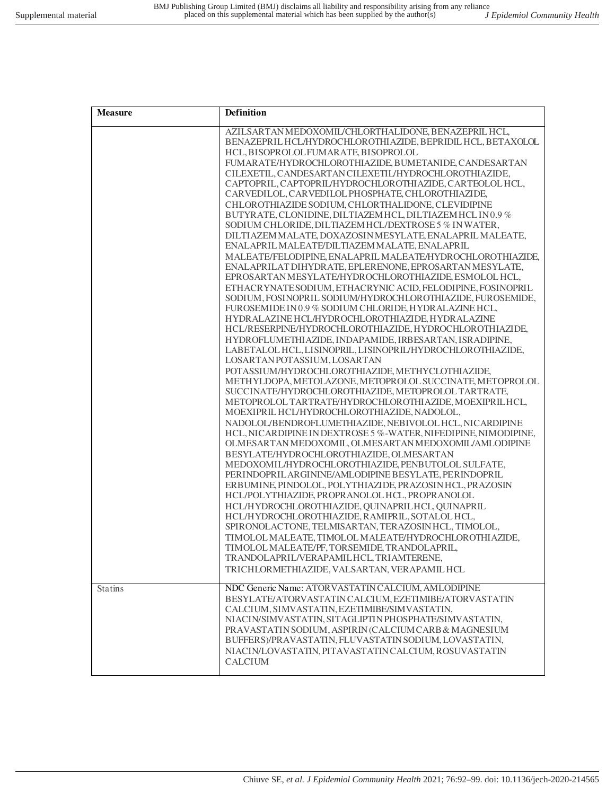| <b>Measure</b> | Definition                                                                                                                                                                                                                                                                                                                                                                                                                                                                                                                                                                                                                                                                                                                                                                                                                                                                                                                                                                                                                                                                                                                                                                                                                                                                                                                                                                                                                                                                                                                                                                                                                                                                                                                                                                                                                                                                                                                                                                                                                                                                                                                                                                                                                                                                                                                                                                                                                                                |
|----------------|-----------------------------------------------------------------------------------------------------------------------------------------------------------------------------------------------------------------------------------------------------------------------------------------------------------------------------------------------------------------------------------------------------------------------------------------------------------------------------------------------------------------------------------------------------------------------------------------------------------------------------------------------------------------------------------------------------------------------------------------------------------------------------------------------------------------------------------------------------------------------------------------------------------------------------------------------------------------------------------------------------------------------------------------------------------------------------------------------------------------------------------------------------------------------------------------------------------------------------------------------------------------------------------------------------------------------------------------------------------------------------------------------------------------------------------------------------------------------------------------------------------------------------------------------------------------------------------------------------------------------------------------------------------------------------------------------------------------------------------------------------------------------------------------------------------------------------------------------------------------------------------------------------------------------------------------------------------------------------------------------------------------------------------------------------------------------------------------------------------------------------------------------------------------------------------------------------------------------------------------------------------------------------------------------------------------------------------------------------------------------------------------------------------------------------------------------------------|
|                | AZILSARTAN MEDOXOMIL/CHLORTHALIDONE, BENAZEPRIL HCL,<br>BENAZEPRIL HCL/HYDROCHLOROTHI AZIDE, BEPRIDIL HCL, BETAXOLOL<br>HCL, BISOPROLOLFUMARATE, BISOPROLOL<br>FUMARATE/HYDROCHLOROTHIAZIDE, BUMETANIDE, CANDESARTAN<br>CILEXETIL, CANDESARTAN CILEXETIL/HYDROCHLOROTHIAZIDE,<br>CAPTOPRIL, CAPTOPRIL/HYDROCHLOROTHIAZIDE, CARTEOLOL HCL,<br>CARVEDILOL, CARVEDILOL PHOSPHATE, CHLOROTHIAZIDE,<br>CHLOROTHIAZIDE SODIUM, CHLORTHALIDONE, CLEVIDIPINE<br>BUTYRATE, CLONIDINE, DILTIAZEM HCL, DILTIAZEM HCL IN0.9%<br>SODIUM CHLORIDE, DILTIAZEM HCL/DEXTROSE 5 % IN WATER,<br>DILTIAZEM MALATE, DOXAZOSIN MESYLATE, ENALAPRIL MALEATE,<br>ENALAPRIL MALEATE/DILTIAZEM MALATE, ENALAPRIL<br>MALEATE/FELODIPINE, ENALAPRIL MALEATE/HYDROCHLOROTHIAZIDE,<br>ENALAPRILAT DIHYDRATE, EPLERENONE, EPROSARTAN MESYLATE,<br>EPROSARTAN MESYLATE/HYDROCHLOROTHIAZIDE, ESMOLOL HCL,<br>ETHACRYNATESODIUM, ETHACRYNIC ACID, FELODIPINE, FOSINOPRIL<br>SODIUM, FOSINOPRIL SODIUM/HYDROCHLOROTHIAZIDE, FUROSEMIDE,<br>FUROSEMIDE IN 0.9 % SODIUM CHLORIDE, HYDRALAZINE HCL,<br>HYDRALAZINE HCL/HYDROCHLOROTHIAZIDE, HYDRALAZINE<br>HCL/RESERPINE/HYDROCHLOROTHIAZIDE, HYDROCHLOROTHIAZIDE,<br>HYDROFLUMETHI AZIDE, INDAPAMIDE, IRBESARTAN, ISRADIPINE,<br>LABETALOL HCL, LISINOPRIL, LISINOPRIL/HYDROCHLOROTHIAZIDE,<br>LOSARTAN POTASSIUM, LOSARTAN<br>POTASSIUM/HYDROCHLOROTHIAZIDE, METHYCLOTHIAZIDE,<br>METHYLDOPA, METOLAZONE, METOPROLOL SUCCINATE, METOPROLOL<br>SUCCINATE/HYDROCHLOROTHIAZIDE, METOPROLOL TARTRATE,<br>METOPROLOL TARTRATE/HYDROCHLOROTHI AZIDE, MOEXIPRILHCL,<br>MOEXIPRIL HCL/HYDROCHLOROTHIAZIDE, NADOLOL,<br>NADOLOL/BENDROFLUMETHIAZIDE, NEBIVOLOL HCL, NICARDIPINE<br>HCL, NICARDIPINE IN DEXTROSE 5 %-WATER, NIFEDIPINE, NIMODIPINE,<br>OLMESARTAN MEDOXOMIL, OLMESARTAN MEDOXOMIL/AMLODIPINE<br>BESYLATE/HYDROCHLOROTHIAZIDE, OLMESARTAN<br>MEDOXOMIL/HYDROCHLOROTHIAZIDE, PENBUTOLOL SULFATE,<br>PERINDOPRILARGININE/AMLODIPINE BESYLATE, PERINDOPRIL<br>ERBUMINE, PINDOLOL, POLYTHIAZIDE, PRAZOSIN HCL, PRAZOSIN<br>HCL/POLYTHIAZIDE, PROPRANOLOL HCL, PROPRANOLOL<br>HCL/HYDROCHLOROTHIAZIDE, QUINAPRILHCL, QUINAPRIL<br>HCL/HYDROCHLOROTHIAZIDE, RAMIPRIL, SOTALOL HCL,<br>SPIRONOLACTONE, TELMISARTAN, TERAZOSIN HCL, TIMOLOL,<br>TIMOLOL MALEATE, TIMOLOL MALEATE/HYDROCHLOROTHIAZIDE,<br>TIMOLOL MALEATE/PF, TORSEMIDE, TRANDOLAPRIL,<br>TRANDOLAPRIL/VERAPAMILHCL, TRIAMTERENE,<br>TRICHLORMETHIAZIDE, VALSARTAN, VERAPAMIL HCL |
| <b>Statins</b> | NDC Generic Name: ATORVASTATIN CALCIUM, AMLODIPINE<br>BESYLATE/ATORVASTATIN CALCIUM, EZETIMIBE/ATORVASTATIN<br>CALCIUM, SIMVASTATIN, EZETIMIBE/SIMVASTATIN,<br>NIACIN/SIMVASTATIN, SITAGLIPTIN PHOSPHATE/SIMVASTATIN,<br>PRAVASTATIN SODIUM, ASPIRIN (CALCIUM CARB & MAGNESIUM<br>BUFFERS)/PRAVASTATIN, FLUVASTATIN SODIUM, LOVASTATIN,<br>NIACIN/LOVASTATIN, PITAVASTATIN CALCIUM, ROSUVASTATIN<br><b>CALCIUM</b>                                                                                                                                                                                                                                                                                                                                                                                                                                                                                                                                                                                                                                                                                                                                                                                                                                                                                                                                                                                                                                                                                                                                                                                                                                                                                                                                                                                                                                                                                                                                                                                                                                                                                                                                                                                                                                                                                                                                                                                                                                        |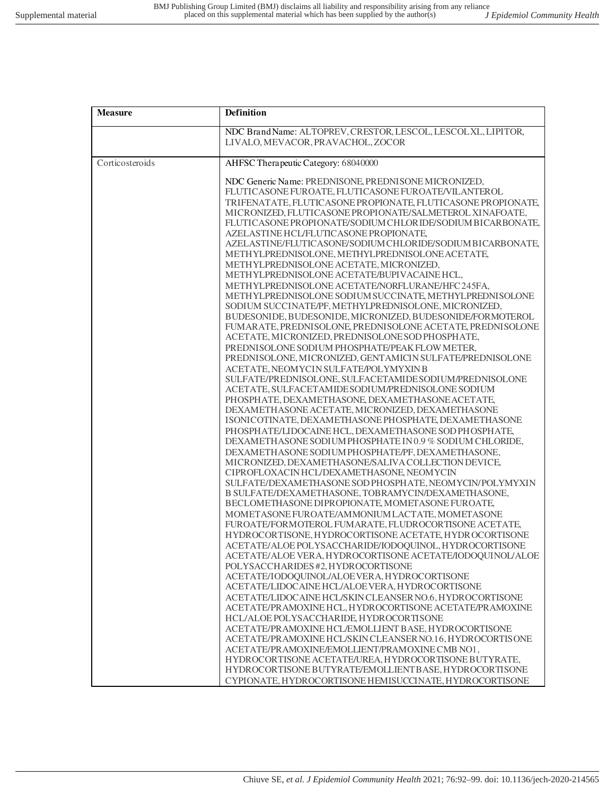| <b>Measure</b>  | Definition                                                                                                      |
|-----------------|-----------------------------------------------------------------------------------------------------------------|
|                 | NDC Brand Name: ALTOPREV, CRESTOR, LESCOL, LESCOLXL, LIPITOR,                                                   |
|                 | LIVALO, MEVACOR, PRAVACHOL, ZOCOR                                                                               |
| Corticosteroids | AHFSC Therapeutic Category: 68040000                                                                            |
|                 | NDC Generic Name: PREDNISONE, PREDNISONE MICRONIZED.                                                            |
|                 | FLUTICASONE FUROATE, FLUTICASONE FUROATE/VILANTEROL                                                             |
|                 | TRIFENATATE, FLUTICASONE PROPIONATE, FLUTICASONE PROPIONATE,                                                    |
|                 | MICRONIZED, FLUTICASONE PROPIONATE/SALMETEROL XINAFOATE,                                                        |
|                 | FLUTICASONE PROPIONATE/SODIUM CHLORIDE/SODIUM BICARBONATE,                                                      |
|                 | AZELASTINE HCL/FLUTICASONE PROPIONATE,                                                                          |
|                 | AZELASTINE/FLUTICASONE/SODIUM CHLORIDE/SODIUM BICARBONATE.<br>METHYLPREDNISOLONE, METHYLPREDNISOLONE ACETATE,   |
|                 | METHYLPREDNISOLONE ACETATE, MICRONIZED,                                                                         |
|                 | METHYLPREDNISOLONE ACETATE/BUPIVACAINE HCL,                                                                     |
|                 | METHYLPREDNISOLONE ACETATE/NORFLURANE/HFC245FA,                                                                 |
|                 | METHYLPREDNISOLONE SODIUM SUCCINATE, METHYLPREDNISOLONE                                                         |
|                 | SODIUM SUCCINATE/PF, METHYLPREDNISOLONE, MICRONIZED,                                                            |
|                 | BUDESONIDE, BUDESONIDE, MICRONIZED, BUDESONIDE/FORMOTEROL                                                       |
|                 | FUMARATE, PREDNISOLONE, PREDNISOLONE ACETATE, PREDNISOLONE                                                      |
|                 | ACETATE, MICRONIZED, PREDNISOLONE SOD PHOSPHATE,                                                                |
|                 | PREDNISOLONE SODIUM PHOSPHATE/PEAK FLOW METER,                                                                  |
|                 | PREDNISOLONE, MICRONIZED, GENTAMICIN SULFATE/PREDNISOLONE<br>ACETATE, NEOMYCIN SULFATE/POLYMYXIN B              |
|                 | SULFATE/PREDNISOLONE, SULFACETAMIDE SODIUM/PREDNISOLONE                                                         |
|                 | ACETATE, SULFACETAMIDE SODIUM/PREDNISOLONE SODIUM                                                               |
|                 | PHOSPHATE, DEXAMETHASONE, DEXAMETHASONE ACETATE,                                                                |
|                 | DEXAMETHASONE ACETATE, MICRONIZED, DEXAMETHASONE                                                                |
|                 | ISONICOTINATE, DEXAMETHASONE PHOSPHATE, DEXAMETHASONE                                                           |
|                 | PHOSPHATE/LIDOCAINE HCL, DEXAMETHASONE SOD PHOSPHATE,                                                           |
|                 | DEXAMETHASONE SODIUM PHOSPHATE IN 0.9 % SODIUM CHLORIDE,                                                        |
|                 | DEXAMETHASONE SODIUM PHOSPHATE/PF, DEXAMETHASONE,                                                               |
|                 | MICRONIZED, DEXAMETHASONE/SALIVA COLLECTION DEVICE,<br>CIPROFLOXACIN HCL/DEXAMETHASONE, NEOMYCIN                |
|                 | SULFATE/DEXAMETHASONE SOD PHOSPHATE, NEOMYCIN/POLYMYXIN                                                         |
|                 | B SULFATE/DEXAMETHASONE, TOBRAMYCIN/DEXAMETHASONE,                                                              |
|                 | BECLOMETHASONE DIPROPIONATE, MOMETASONE FUROATE,                                                                |
|                 | MOMETASONE FUROATE/AMMONIUM LACTATE, MOMETASONE                                                                 |
|                 | FUROATE/FORMOTEROL FUMARATE, FLUDROCORTISONE ACETATE,                                                           |
|                 | HYDROCORTISONE, HYDROCORTISONE ACETATE, HYDROCORTISONE                                                          |
|                 | ACETATE/ALOE POLYSACCHARIDE/IODOQUINOL, HYDROCORTISONE                                                          |
|                 | ACETATE/ALOE VERA, HYDROCORTISONE ACETATE/IODOQUINOL/ALOE                                                       |
|                 | POLYSACCHARIDES #2, HYDROCORTISONE<br>ACETATE/IODOQUINOL/ALOEVERA, HYDROCORTISONE                               |
|                 | ACETATE/LIDOCAINE HCL/ALOEVERA, HYDROCORTISONE                                                                  |
|                 | ACETATE/LIDOCAINE HCL/SKIN CLEANSER NO.6, HYDROCORTISONE                                                        |
|                 | ACETATE/PRAMOXINE HCL, HYDROCORTISONE ACETATE/PRAMOXINE                                                         |
|                 | HCL/ALOE POLYSACCHARIDE, HYDROCORTISONE                                                                         |
|                 | ACETATE/PRAMOXINE HCL/EMOLLIENT BASE, HYDROCORTISONE                                                            |
|                 | ACETATE/PRAMOXINE HCL/SKIN CLEANSER NO.16, HYDROCORTISONE                                                       |
|                 | ACETATE/PRAMOXINE/EMOLLIENT/PRAMOXINE CMB NO1,                                                                  |
|                 | HYDROCORTISONE ACETATE/UREA, HYDROCORTISONE BUTYRATE,<br>HYDROCORTISONE BUTYRATE/EMOLLIENT BASE, HYDROCORTISONE |
|                 | CYPIONATE, HYDROCORTISONE HEMISUCCINATE, HYDROCORTISONE                                                         |
|                 |                                                                                                                 |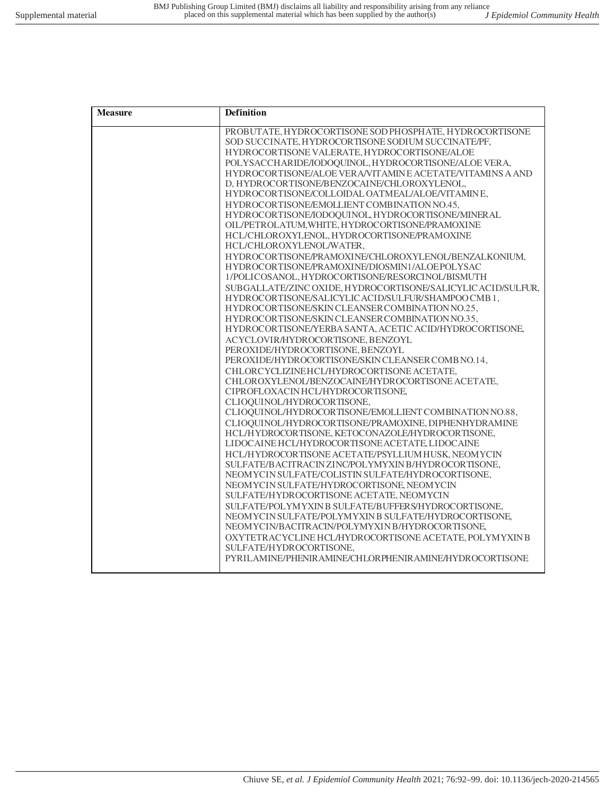| <b>Measure</b> | <b>Definition</b>                                                                                   |
|----------------|-----------------------------------------------------------------------------------------------------|
|                | PROBUTATE, HYDROCORTISONE SOD PHOSPHATE, HYDROCORTISONE                                             |
|                | SOD SUCCINATE, HYDROCORTISONE SODIUM SUCCINATE/PF,                                                  |
|                | HYDROCORTISONE VALERATE, HYDROCORTISONE/ALOE                                                        |
|                | POLYSACCHARIDE/IODOQUINOL, HYDROCORTISONE/ALOE VERA,                                                |
|                | HYDROCORTISONE/ALOE VERA/VITAMINE ACETATE/VITAMINS A AND                                            |
|                | D, HYDROCORTISONE/BENZOCAINE/CHLOROXYLENOL,                                                         |
|                | HYDROCORTISONE/COLLOIDAL OATMEAL/ALOE/VITAMINE,                                                     |
|                | HYDROCORTISONE/EMOLLIENT COMBINATION NO.45,<br>HYDROCORTISONE/IODOQUINOL, HYDROCORTISONE/MINERAL    |
|                | OIL/PETROLATUM, WHITE, HYDROCORTISONE/PRAMOXINE                                                     |
|                | HCL/CHLOROXYLENOL, HYDROCORTISONE/PRAMOXINE                                                         |
|                | HCL/CHLOROXYLENOL/WATER,                                                                            |
|                | HYDROCORTISONE/PRAMOXINE/CHLOROXYLENOL/BENZALKONIUM,                                                |
|                | HYDROCORTISONE/PRAMOXINE/DIOSMIN1/ALOEPOLYSAC                                                       |
|                | 1/POLICOSANOL, HYDROCORTISONE/RESORCINOL/BISMUTH                                                    |
|                | SUBGALLATE/ZINC OXIDE, HYDROCORTISONE/SALICYLIC ACID/SULFUR,                                        |
|                | HYDROCORTISONE/SALICYLIC ACID/SULFUR/SHAMPOO CMB 1.                                                 |
|                | HYDROCORTISONE/SKIN CLEANSER COMBINATION NO.25,                                                     |
|                | HYDROCORTISONE/SKIN CLEANSER COMBINATION NO.35,                                                     |
|                | HYDROCORTISONE/YERBA SANTA, ACETIC ACID/HYDROCORTISONE,                                             |
|                | ACYCLOVIR/HYDROCORTISONE, BENZOYL                                                                   |
|                | PEROXIDE/HYDROCORTISONE, BENZOYL                                                                    |
|                | PEROXIDE/HYDROCORTISONE/SKIN CLEANSER COMB NO.14,                                                   |
|                | CHLORCYCLIZINEHCL/HYDROCORTISONE ACETATE,                                                           |
|                | CHLOROXYLENOL/BENZOCAINE/HYDROCORTISONE ACETATE,                                                    |
|                | CIPROFLOXACINHCL/HYDROCORTISONE,                                                                    |
|                | CLIOQUINOL/HYDROCORTISONE,                                                                          |
|                | CLIOQUINOL/HYDROCORTISONE/EMOLLIENT COMBINATION NO.88,                                              |
|                | CLIOQUINOL/HYDROCORTISONE/PRAMOXINE, DIPHENHYDRAMINE                                                |
|                | HCL/HYDROCORTISONE, KETOCONAZOLE/HYDROCORTISONE,<br>LIDOCAINE HCL/HYDROCORTISONE ACETATE, LIDOCAINE |
|                | HCL/HYDROCORTISONE ACETATE/PSYLLIUM HUSK, NEOMYCIN                                                  |
|                | SULFATE/BACITRACINZINC/POLYMYXIN B/HYDROCORTISONE,                                                  |
|                | NEOMYCIN SULFATE/COLISTIN SULFATE/HYDROCORTISONE,                                                   |
|                | NEOMYCIN SULFATE/HYDROCORTISONE, NEOMYCIN                                                           |
|                | SULFATE/HYDROCORTISONE ACETATE, NEOMYCIN                                                            |
|                | SULFATE/POLYMYXINB SULFATE/BUFFERS/HYDROCORTISONE,                                                  |
|                | NEOMYCIN SULFATE/POLYMYXIN B SULFATE/HYDROCORTISONE,                                                |
|                | NEOMYCIN/BACITRACIN/POLYMYXIN B/HYDROCORTISONE,                                                     |
|                | OXYTETRACYCLINE HCL/HYDROCORTISONE ACETATE, POLYMYXIN B                                             |
|                | SULFATE/HYDROCORTISONE.                                                                             |
|                | PYRILAMINE/PHENIRAMINE/CHLORPHENIRAMINE/HYDROCORTISONE                                              |
|                |                                                                                                     |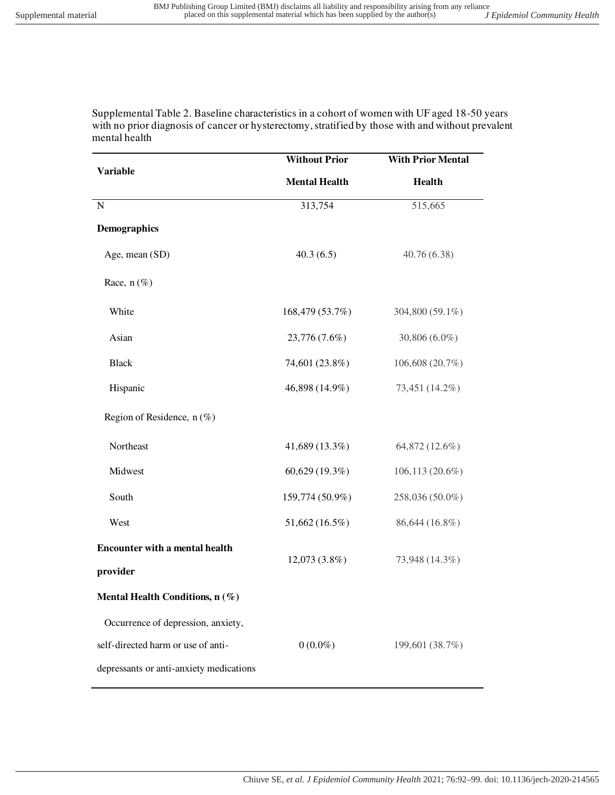Supplemental Table 2. Baseline characteristics in a cohort of women with UF aged 18-50 years with no prior diagnosis of cancer or hysterectomy, stratified by those with and without prevalent mental health

| <b>Variable</b>                                   | <b>Without Prior</b> | <b>With Prior Mental</b> |  |
|---------------------------------------------------|----------------------|--------------------------|--|
|                                                   | <b>Mental Health</b> | <b>Health</b>            |  |
| ${\bf N}$                                         | 313,754              | 515,665                  |  |
| Demographics                                      |                      |                          |  |
| Age, mean (SD)                                    | 40.3(6.5)            | 40.76(6.38)              |  |
| Race, $n$ (%)                                     |                      |                          |  |
| White                                             | 168,479 (53.7%)      | 304,800 (59.1%)          |  |
| Asian                                             | 23,776 (7.6%)        | 30,806 (6.0%)            |  |
| <b>Black</b>                                      | 74,601 (23.8%)       | 106,608 (20.7%)          |  |
| Hispanic                                          | 46,898 (14.9%)       | 73,451 (14.2%)           |  |
| Region of Residence, $n$ (%)                      |                      |                          |  |
| Northeast                                         | 41,689 (13.3%)       | 64,872 (12.6%)           |  |
| Midwest                                           | 60,629 (19.3%)       | 106,113 (20.6%)          |  |
| South                                             | 159,774 (50.9%)      | 258,036 (50.0%)          |  |
| West                                              | 51,662 (16.5%)       | 86,644 (16.8%)           |  |
| <b>Encounter with a mental health</b><br>provider | 12,073 (3.8%)        | 73,948 (14.3%)           |  |
| Mental Health Conditions, n (%)                   |                      |                          |  |
| Occurrence of depression, anxiety,                |                      |                          |  |
| self-directed harm or use of anti-                | $0(0.0\%)$           | 199,601 (38.7%)          |  |
| depressants or anti-anxiety medications           |                      |                          |  |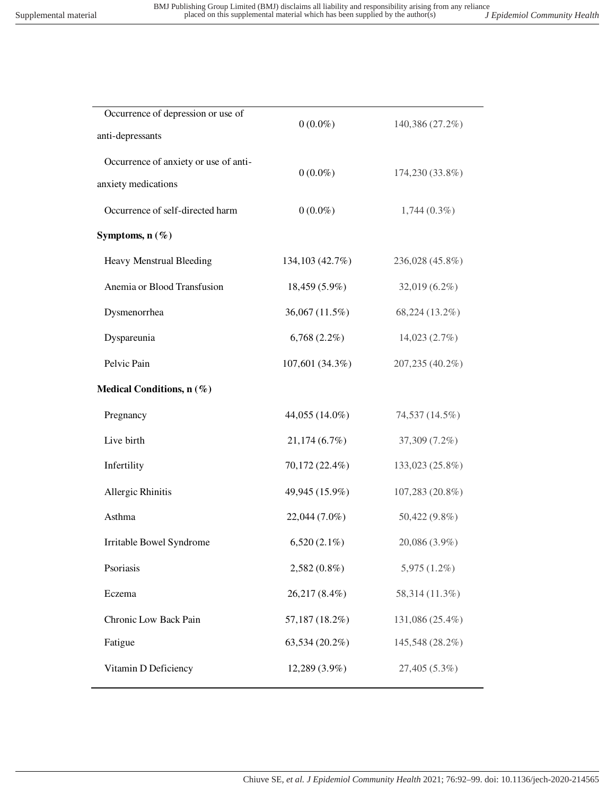| Occurrence of depression or use of<br>anti-depressants       | $0(0.0\%)$       | 140,386 (27.2%) |
|--------------------------------------------------------------|------------------|-----------------|
| Occurrence of anxiety or use of anti-<br>anxiety medications | $0(0.0\%)$       | 174,230 (33.8%) |
| Occurrence of self-directed harm                             | $0(0.0\%)$       | $1,744(0.3\%)$  |
| Symptoms, $n(\%)$                                            |                  |                 |
| Heavy Menstrual Bleeding                                     | 134, 103 (42.7%) | 236,028 (45.8%) |
| Anemia or Blood Transfusion                                  | $18,459(5.9\%)$  | 32,019 (6.2%)   |
| Dysmenorrhea                                                 | 36,067 (11.5%)   | 68,224 (13.2%)  |
| Dyspareunia                                                  | $6,768(2.2\%)$   | 14,023(2.7%)    |
| Pelvic Pain                                                  | 107,601 (34.3%)  | 207,235 (40.2%) |
| Medical Conditions, n (%)                                    |                  |                 |
| Pregnancy                                                    | 44,055 (14.0%)   | 74,537 (14.5%)  |
| Live birth                                                   | 21,174(6.7%)     | 37,309 (7.2%)   |
| Infertility                                                  | 70,172 (22.4%)   | 133,023 (25.8%) |
| Allergic Rhinitis                                            | 49,945 (15.9%)   | 107,283 (20.8%) |
| Asthma                                                       | 22,044 (7.0%)    | 50,422 (9.8%)   |
| Irritable Bowel Syndrome                                     | $6,520(2.1\%)$   | 20,086 (3.9%)   |
| Psoriasis                                                    | $2,582(0.8\%)$   | $5,975(1.2\%)$  |
| Eczema                                                       | 26,217 (8.4%)    | 58,314 (11.3%)  |
| Chronic Low Back Pain                                        | 57,187 (18.2%)   | 131,086 (25.4%) |
| Fatigue                                                      | 63,534 (20.2%)   | 145,548 (28.2%) |
| Vitamin D Deficiency                                         | 12,289 (3.9%)    | 27,405 (5.3%)   |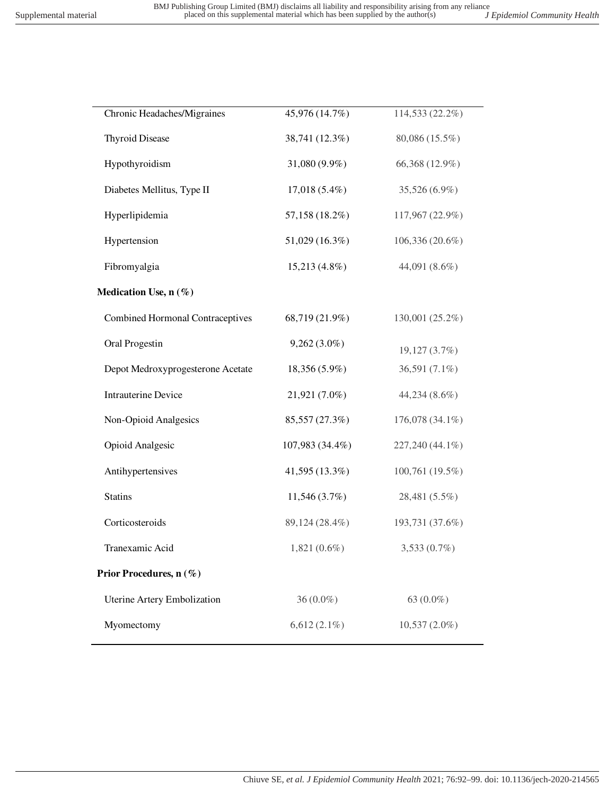| Chronic Headaches/Migraines             | 45,976 (14.7%)  | 114,533 (22.2%) |
|-----------------------------------------|-----------------|-----------------|
| <b>Thyroid Disease</b>                  | 38,741 (12.3%)  | 80,086 (15.5%)  |
| Hypothyroidism                          | 31,080 (9.9%)   | 66,368 (12.9%)  |
| Diabetes Mellitus, Type II              | $17,018(5.4\%)$ | 35,526 (6.9%)   |
| Hyperlipidemia                          | 57,158 (18.2%)  | 117,967 (22.9%) |
| Hypertension                            | 51,029 (16.3%)  | 106,336 (20.6%) |
| Fibromyalgia                            | $15,213(4.8\%)$ | 44,091 (8.6%)   |
| Medication Use, n (%)                   |                 |                 |
| <b>Combined Hormonal Contraceptives</b> | 68,719 (21.9%)  | 130,001 (25.2%) |
| Oral Progestin                          | $9,262(3.0\%)$  | 19,127 (3.7%)   |
| Depot Medroxyprogesterone Acetate       | 18,356 (5.9%)   | 36,591 (7.1%)   |
| <b>Intrauterine Device</b>              | 21,921 (7.0%)   | 44,234 (8.6%)   |
| Non-Opioid Analgesics                   | 85,557 (27.3%)  | 176,078 (34.1%) |
| Opioid Analgesic                        | 107,983 (34.4%) | 227,240 (44.1%) |
| Antihypertensives                       | 41,595 (13.3%)  | 100,761 (19.5%) |
| <b>Statins</b>                          | 11,546(3.7%)    | 28,481 (5.5%)   |
| Corticosteroids                         | 89,124 (28.4%)  | 193,731 (37.6%) |
| Tranexamic Acid                         | $1,821(0.6\%)$  | $3,533(0.7\%)$  |
| Prior Procedures, n (%)                 |                 |                 |
| Uterine Artery Embolization             | $36(0.0\%)$     | 63 (0.0%)       |
| Myomectomy                              | $6,612(2.1\%)$  | $10,537(2.0\%)$ |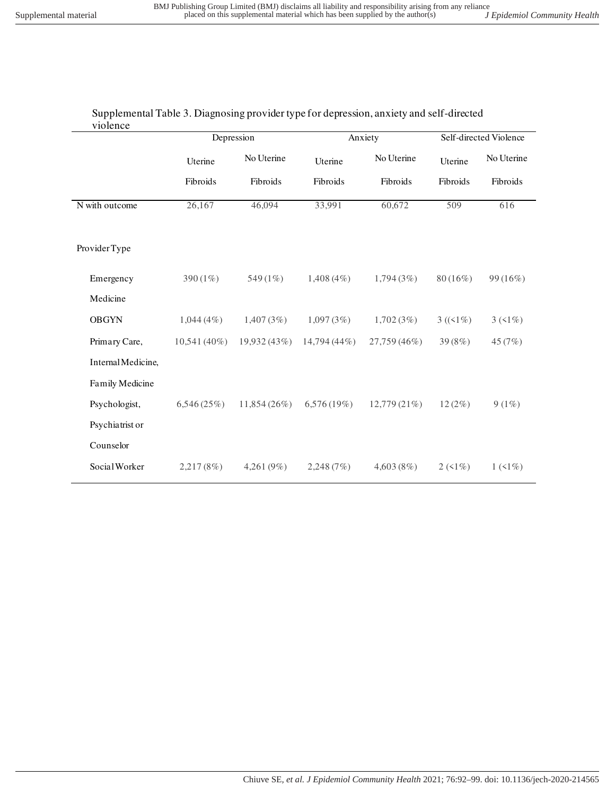| Supplemental Table 3. Diagnosing provider type for depression, anxiety and self-directed |
|------------------------------------------------------------------------------------------|
| violence                                                                                 |

|                    | Depression     |               | Anxiety        |              | Self-directed Violence |            |
|--------------------|----------------|---------------|----------------|--------------|------------------------|------------|
|                    | Uterine        | No Uterine    | Uterine        | No Uterine   | Uterine                | No Uterine |
|                    | Fibroids       | Fibroids      | Fibroids       | Fibroids     | Fibroids               | Fibroids   |
| N with outcome     | 26,167         | 46,094        | 33,991         | 60,672       | 509                    | 616        |
| Provider Type      |                |               |                |              |                        |            |
| Emergency          | 390 $(1\%)$    | 549 (1%)      | $1,408(4\%)$   | 1,794(3%)    | $80(16\%)$             | 99(16%)    |
| Medicine           |                |               |                |              |                        |            |
| <b>OBGYN</b>       | $1,044(4\%)$   | 1,407(3%)     | 1,097(3%)      | 1,702(3%)    | $3 ((1\%)$             | $3(51\%)$  |
| Primary Care,      | $10,541(40\%)$ | 19,932 (43%)  | $14,794(44\%)$ | 27,759 (46%) | 39 (8%)                | 45 (7%)    |
| Internal Medicine, |                |               |                |              |                        |            |
| Family Medicine    |                |               |                |              |                        |            |
| Psychologist,      | 6,546(25%)     | 11,854(26%)   | 6,576 (19%)    | 12,779 (21%) | 12(2%)                 | $9(1\%)$   |
| Psychiatrist or    |                |               |                |              |                        |            |
| Counselor          |                |               |                |              |                        |            |
| Social Worker      | 2,217(8%)      | 4,261 $(9\%)$ | 2,248(7%)      | 4,603(8%)    | $2(1\%)$               | $1(1\%)$   |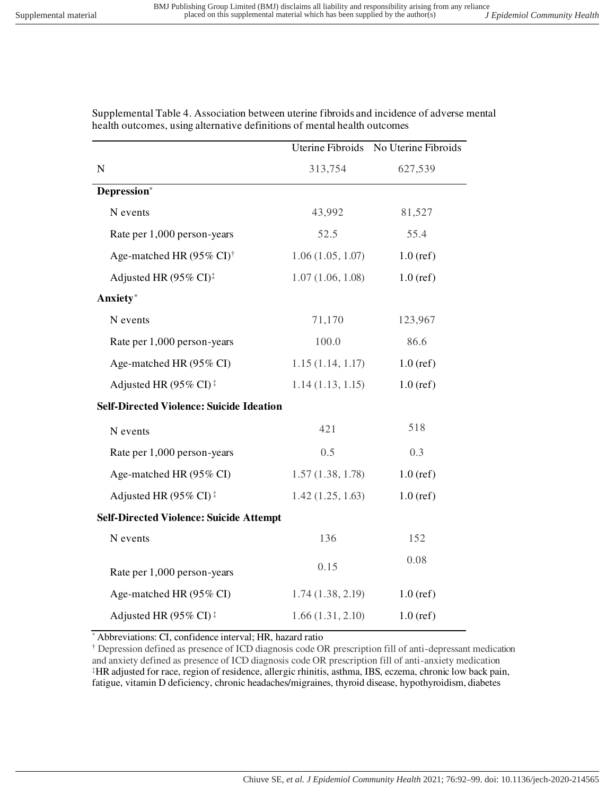|                                                       |                  | Uterine Fibroids No Uterine Fibroids |
|-------------------------------------------------------|------------------|--------------------------------------|
| $\mathbf N$                                           | 313,754          | 627,539                              |
| Depression*                                           |                  |                                      |
| N events                                              | 43,992           | 81,527                               |
| Rate per 1,000 person-years                           | 52.5             | 55.4                                 |
| Age-matched HR (95% CI) <sup>†</sup>                  | 1.06(1.05, 1.07) | $1.0$ (ref)                          |
| Adjusted HR (95% CI) <sup>‡</sup>                     | 1.07(1.06, 1.08) | $1.0$ (ref)                          |
| Anxiety*                                              |                  |                                      |
| N events                                              | 71,170           | 123,967                              |
| Rate per 1,000 person-years                           | 100.0            | 86.6                                 |
| Age-matched HR (95% CI)                               | 1.15(1.14, 1.17) | $1.0$ (ref)                          |
| Adjusted HR (95% CI) <sup>‡</sup>                     | 1.14(1.13, 1.15) | $1.0$ (ref)                          |
| <b>Self-Directed Violence: Suicide Ideation</b>       |                  |                                      |
| N events                                              | 421              | 518                                  |
| Rate per 1,000 person-years                           | 0.5              | 0.3                                  |
| Age-matched HR (95% CI)                               | 1.57(1.38, 1.78) | $1.0$ (ref)                          |
| Adjusted HR (95% CI) <sup><math>\ddagger</math></sup> | 1.42(1.25, 1.63) | $1.0$ (ref)                          |
| <b>Self-Directed Violence: Suicide Attempt</b>        |                  |                                      |
| N events                                              | 136              | 152                                  |
| Rate per 1,000 person-years                           | 0.15             | 0.08                                 |
| Age-matched HR (95% CI)                               | 1.74(1.38, 2.19) | $1.0$ (ref)                          |
| Adjusted HR (95% CI) <sup><math>\ddagger</math></sup> | 1.66(1.31, 2.10) | $1.0$ (ref)                          |

Supplemental Table 4. Association between uterine fibroids and incidence of adverse mental health outcomes, using alternative definitions of mental health outcomes

Abbreviations: CI, confidence interval; HR, hazard ratio

† Depression defined as presence of ICD diagnosis code OR prescription fill of anti-depressant medication and anxiety defined as presence of ICD diagnosis code OR prescription fill of anti-anxiety medication ‡HR adjusted for race, region of residence, allergic rhinitis, asthma, IBS, eczema, chronic low back pain, fatigue, vitamin D deficiency, chronic headaches/migraines, thyroid disease, hypothyroidism, diabetes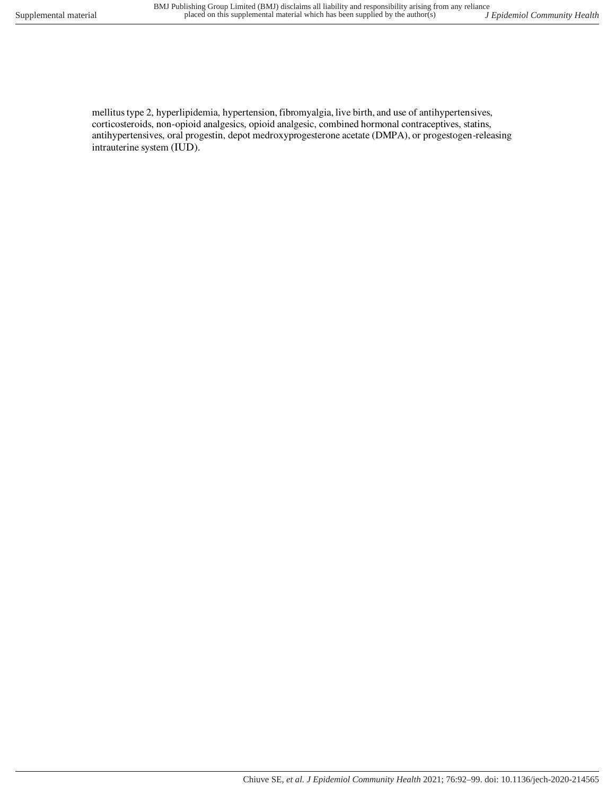mellitus type 2, hyperlipidemia, hypertension, fibromyalgia, live birth, and use of antihypertensives,

corticosteroids, non-opioid analgesics, opioid analgesic, combined hormonal contraceptives, statins, antihypertensives, oral progestin, depot medroxyprogesterone acetate (DMPA), or progestogen-releasing intrauterine system (IUD).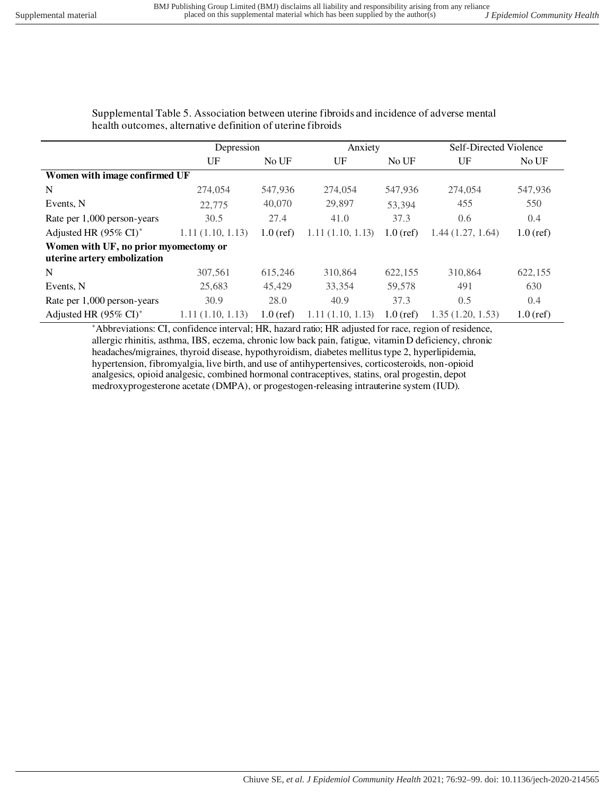Supplemental Table 5. Association between uterine fibroids and incidence of adverse mental health outcomes, alternative definition of uterine fibroids

|                                                                      | Depression       |             |                  | Anxiety     |                  | Self-Directed Violence |  |
|----------------------------------------------------------------------|------------------|-------------|------------------|-------------|------------------|------------------------|--|
|                                                                      | UF               | No UF       | UF               | No UF       | UF               | No UF                  |  |
| Women with image confirmed UF                                        |                  |             |                  |             |                  |                        |  |
| N                                                                    | 274,054          | 547,936     | 274,054          | 547,936     | 274,054          | 547,936                |  |
| Events, N                                                            | 22,775           | 40,070      | 29,897           | 53.394      | 455              | 550                    |  |
| Rate per 1,000 person-years                                          | 30.5             | 27.4        | 41.0             | 37.3        | 0.6              | 0.4                    |  |
| Adjusted HR (95% CI) <sup>*</sup>                                    | 1.11(1.10, 1.13) | $1.0$ (ref) | 1.11(1.10, 1.13) | $1.0$ (ref) | 1.44(1.27, 1.64) | $1.0$ (ref)            |  |
| Women with UF, no prior myomectomy or<br>uterine artery embolization |                  |             |                  |             |                  |                        |  |
| N                                                                    | 307,561          | 615,246     | 310,864          | 622,155     | 310,864          | 622,155                |  |
| Events, N                                                            | 25,683           | 45,429      | 33,354           | 59,578      | 491              | 630                    |  |
| Rate per 1,000 person-years                                          | 30.9             | 28.0        | 40.9             | 37.3        | 0.5              | 0.4                    |  |
| Adjusted HR (95% CI) <sup>*</sup>                                    | 1.11(1.10, 1.13) | $1.0$ (ref) | 1.11(1.10, 1.13) | $1.0$ (ref) | 1.35(1.20, 1.53) | $1.0$ (ref)            |  |

\*Abbreviations: CI, confidence interval; HR, hazard ratio; HR adjusted for race, region of residence, allergic rhinitis, asthma, IBS, eczema, chronic low back pain, fatigue, vitamin D deficiency, chronic headaches/migraines, thyroid disease, hypothyroidism, diabetes mellitus type 2, hyperlipidemia, hypertension, fibromyalgia, live birth, and use of antihypertensives, corticosteroids, non-opioid analgesics, opioid analgesic, combined hormonal contraceptives, statins, oral progestin, depot medroxyprogesterone acetate (DMPA), or progestogen-releasing intrauterine system (IUD).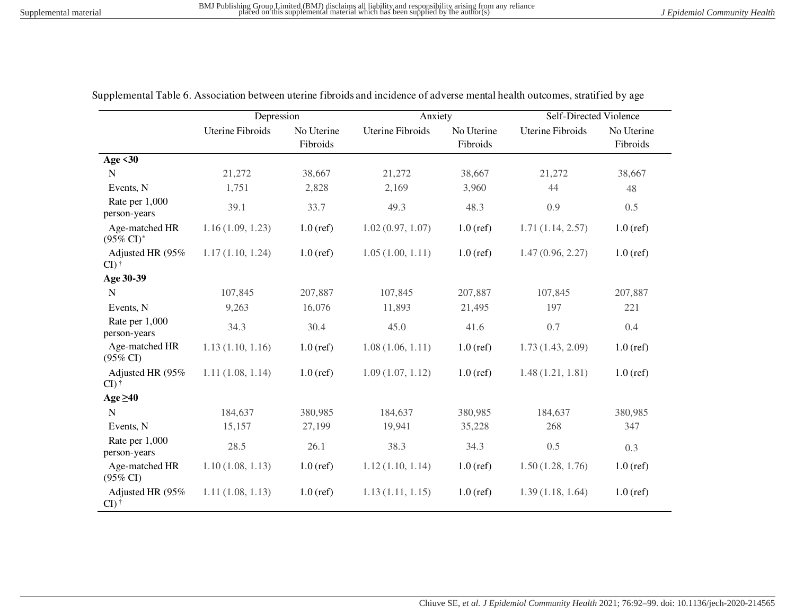|                                         | Depression              |                        | Anxiety                 |                        | <b>Self-Directed Violence</b> |                        |
|-----------------------------------------|-------------------------|------------------------|-------------------------|------------------------|-------------------------------|------------------------|
|                                         | <b>Uterine Fibroids</b> | No Uterine<br>Fibroids | <b>Uterine Fibroids</b> | No Uterine<br>Fibroids | <b>Uterine Fibroids</b>       | No Uterine<br>Fibroids |
| Age $<30$                               |                         |                        |                         |                        |                               |                        |
| N                                       | 21,272                  | 38,667                 | 21,272                  | 38,667                 | 21,272                        | 38,667                 |
| Events, N                               | 1,751                   | 2,828                  | 2,169                   | 3,960                  | 44                            | 48                     |
| Rate per 1,000<br>person-years          | 39.1                    | 33.7                   | 49.3                    | 48.3                   | 0.9                           | 0.5                    |
| Age-matched HR<br>$(95\% \text{ CI})^*$ | 1.16(1.09, 1.23)        | $1.0$ (ref)            | 1.02(0.97, 1.07)        | $1.0$ (ref)            | 1.71(1.14, 2.57)              | $1.0$ (ref)            |
| Adjusted HR (95%<br>$CI)$ <sup>†</sup>  | 1.17(1.10, 1.24)        | $1.0$ (ref)            | 1.05(1.00, 1.11)        | $1.0$ (ref)            | 1.47(0.96, 2.27)              | $1.0$ (ref)            |
| Age 30-39                               |                         |                        |                         |                        |                               |                        |
| $\mathbf N$                             | 107,845                 | 207,887                | 107,845                 | 207,887                | 107,845                       | 207,887                |
| Events, N                               | 9,263                   | 16,076                 | 11,893                  | 21,495                 | 197                           | 221                    |
| Rate per 1,000<br>person-years          | 34.3                    | 30.4                   | 45.0                    | 41.6                   | 0.7                           | 0.4                    |
| Age-matched HR<br>$(95\% \text{ CI})$   | 1.13(1.10, 1.16)        | $1.0$ (ref)            | 1.08(1.06, 1.11)        | $1.0$ (ref)            | 1.73(1.43, 2.09)              | $1.0$ (ref)            |
| Adjusted HR (95%<br>$CI)$ <sup>†</sup>  | 1.11(1.08, 1.14)        | $1.0$ (ref)            | 1.09(1.07, 1.12)        | $1.0$ (ref)            | 1.48(1.21, 1.81)              | $1.0$ (ref)            |
| Age $\geq 40$                           |                         |                        |                         |                        |                               |                        |
| $\mathbf N$                             | 184,637                 | 380,985                | 184,637                 | 380,985                | 184,637                       | 380,985                |
| Events, N                               | 15,157                  | 27,199                 | 19,941                  | 35,228                 | 268                           | 347                    |
| Rate per 1,000<br>person-years          | 28.5                    | 26.1                   | 38.3                    | 34.3                   | 0.5                           | 0.3                    |
| Age-matched HR<br>$(95\% \text{ CI})$   | 1.10(1.08, 1.13)        | $1.0$ (ref)            | 1.12(1.10, 1.14)        | $1.0$ (ref)            | 1.50(1.28, 1.76)              | $1.0$ (ref)            |
| Adjusted HR (95%<br>$CI)$ <sup>†</sup>  | 1.11(1.08, 1.13)        | $1.0$ (ref)            | 1.13(1.11, 1.15)        | $1.0$ (ref)            | 1.39(1.18, 1.64)              | $1.0$ (ref)            |

Supplemental Table 6. Association between uterine fibroids and incidence of adverse mental health outcomes, stratified by age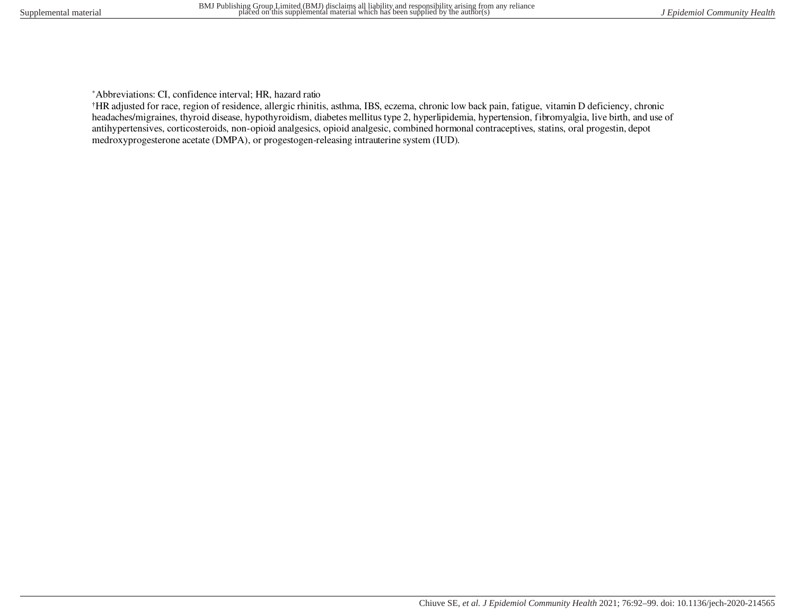\*Abbreviations: CI, confidence interval; HR, hazard ratio

†HR adjusted for race, region of residence, allergic rhinitis, asthma, IBS, eczema, chronic low back pain, fatigue, vitamin D deficiency, chronic headaches/migraines, thyroid disease, hypothyroidism, diabetes mellitus type 2, hyperlipidemia, hypertension, fibromyalgia, live birth, and use of antihypertensives, corticosteroids, non-opioid analgesics, opioid analgesic, combined hormonal contraceptives, statins, oral progestin, depot medroxyprogesterone acetate (DMPA), or progestogen-releasing intrauterine system (IUD).